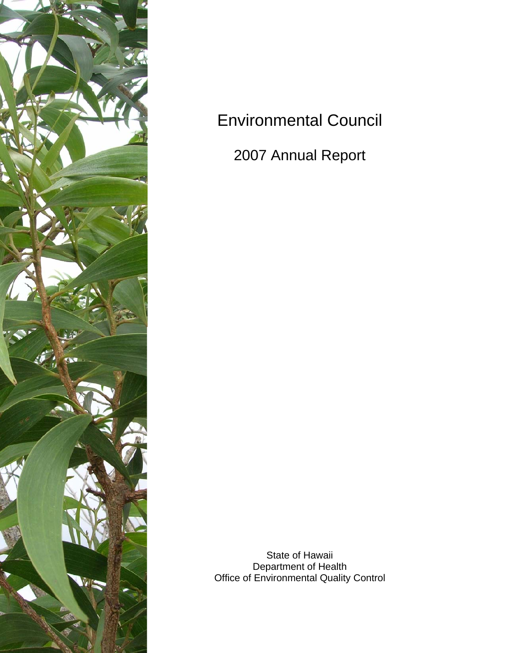

# Environmental Council

2007 Annual Report

State of Hawaii Department of Health Office of Environmental Quality Control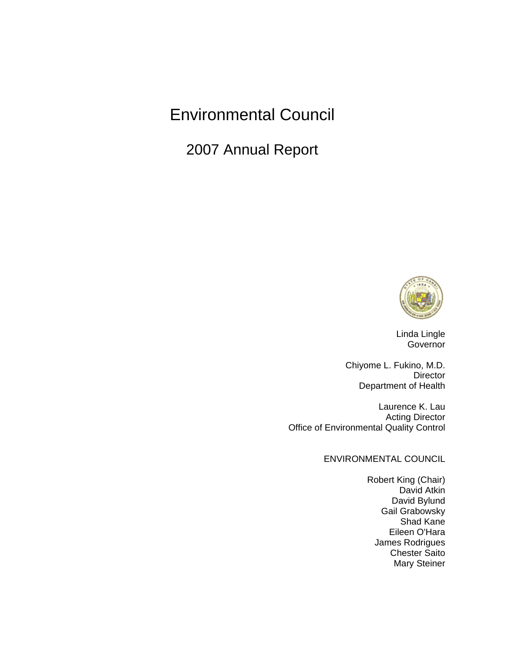# Environmental Council

2007 Annual Report



Linda Lingle Governor

Chiyome L. Fukino, M.D. Director Department of Health

Laurence K. Lau Acting Director Office of Environmental Quality Control

ENVIRONMENTAL COUNCIL

Robert King (Chair) David Atkin David Bylund Gail Grabowsky Shad Kane Eileen O'Hara James Rodrigues Chester Saito Mary Steiner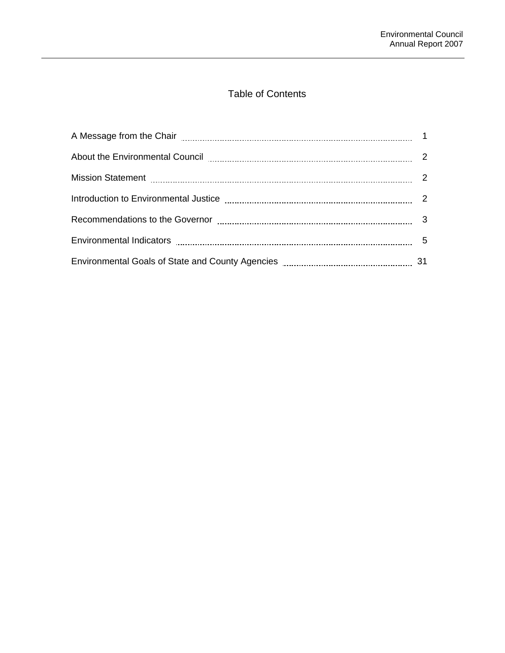# Table of Contents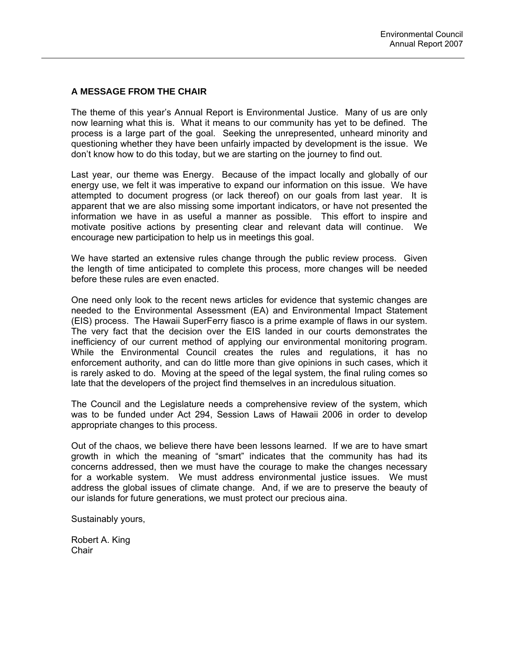### **A MESSAGE FROM THE CHAIR**

The theme of this year's Annual Report is Environmental Justice. Many of us are only now learning what this is. What it means to our community has yet to be defined. The process is a large part of the goal. Seeking the unrepresented, unheard minority and questioning whether they have been unfairly impacted by development is the issue. We don't know how to do this today, but we are starting on the journey to find out.

Last year, our theme was Energy. Because of the impact locally and globally of our energy use, we felt it was imperative to expand our information on this issue. We have attempted to document progress (or lack thereof) on our goals from last year. It is apparent that we are also missing some important indicators, or have not presented the information we have in as useful a manner as possible. This effort to inspire and motivate positive actions by presenting clear and relevant data will continue. We encourage new participation to help us in meetings this goal.

We have started an extensive rules change through the public review process. Given the length of time anticipated to complete this process, more changes will be needed before these rules are even enacted.

One need only look to the recent news articles for evidence that systemic changes are needed to the Environmental Assessment (EA) and Environmental Impact Statement (EIS) process. The Hawaii SuperFerry fiasco is a prime example of flaws in our system. The very fact that the decision over the EIS landed in our courts demonstrates the inefficiency of our current method of applying our environmental monitoring program. While the Environmental Council creates the rules and regulations, it has no enforcement authority, and can do little more than give opinions in such cases, which it is rarely asked to do. Moving at the speed of the legal system, the final ruling comes so late that the developers of the project find themselves in an incredulous situation.

The Council and the Legislature needs a comprehensive review of the system, which was to be funded under Act 294, Session Laws of Hawaii 2006 in order to develop appropriate changes to this process.

Out of the chaos, we believe there have been lessons learned. If we are to have smart growth in which the meaning of "smart" indicates that the community has had its concerns addressed, then we must have the courage to make the changes necessary for a workable system. We must address environmental justice issues. We must address the global issues of climate change. And, if we are to preserve the beauty of our islands for future generations, we must protect our precious aina.

Sustainably yours,

Robert A. King **Chair**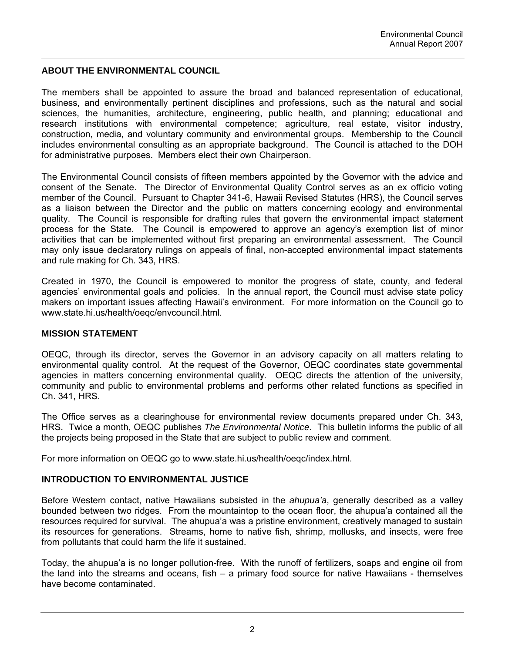### **ABOUT THE ENVIRONMENTAL COUNCIL**

The members shall be appointed to assure the broad and balanced representation of educational, business, and environmentally pertinent disciplines and professions, such as the natural and social sciences, the humanities, architecture, engineering, public health, and planning; educational and research institutions with environmental competence; agriculture, real estate, visitor industry, construction, media, and voluntary community and environmental groups. Membership to the Council includes environmental consulting as an appropriate background. The Council is attached to the DOH for administrative purposes. Members elect their own Chairperson.

The Environmental Council consists of fifteen members appointed by the Governor with the advice and consent of the Senate. The Director of Environmental Quality Control serves as an ex officio voting member of the Council. Pursuant to Chapter 341-6, Hawaii Revised Statutes (HRS), the Council serves as a liaison between the Director and the public on matters concerning ecology and environmental quality. The Council is responsible for drafting rules that govern the environmental impact statement process for the State. The Council is empowered to approve an agency's exemption list of minor activities that can be implemented without first preparing an environmental assessment. The Council may only issue declaratory rulings on appeals of final, non-accepted environmental impact statements and rule making for Ch. 343, HRS.

Created in 1970, the Council is empowered to monitor the progress of state, county, and federal agencies' environmental goals and policies. In the annual report, the Council must advise state policy makers on important issues affecting Hawaii's environment. For more information on the Council go to www.state.hi.us/health/oeqc/envcouncil.html.

### **MISSION STATEMENT**

OEQC, through its director, serves the Governor in an advisory capacity on all matters relating to environmental quality control. At the request of the Governor, OEQC coordinates state governmental agencies in matters concerning environmental quality. OEQC directs the attention of the university, community and public to environmental problems and performs other related functions as specified in Ch. 341, HRS.

The Office serves as a clearinghouse for environmental review documents prepared under Ch. 343, HRS. Twice a month, OEQC publishes *The Environmental Notice*. This bulletin informs the public of all the projects being proposed in the State that are subject to public review and comment.

For more information on OEQC go to [www.state.hi.us/health/oeqc/index.html.](http://www.state.hi.us/health/oeqc/index.html)

### **INTRODUCTION TO ENVIRONMENTAL JUSTICE**

Before Western contact, native Hawaiians subsisted in the *ahupua'a*, generally described as a valley bounded between two ridges. From the mountaintop to the ocean floor, the ahupua'a contained all the resources required for survival. The ahupua'a was a pristine environment, creatively managed to sustain its resources for generations. Streams, home to native fish, shrimp, mollusks, and insects, were free from pollutants that could harm the life it sustained.

Today, the ahupua'a is no longer pollution-free. With the runoff of fertilizers, soaps and engine oil from the land into the streams and oceans, fish – a primary food source for native Hawaiians - themselves have become contaminated.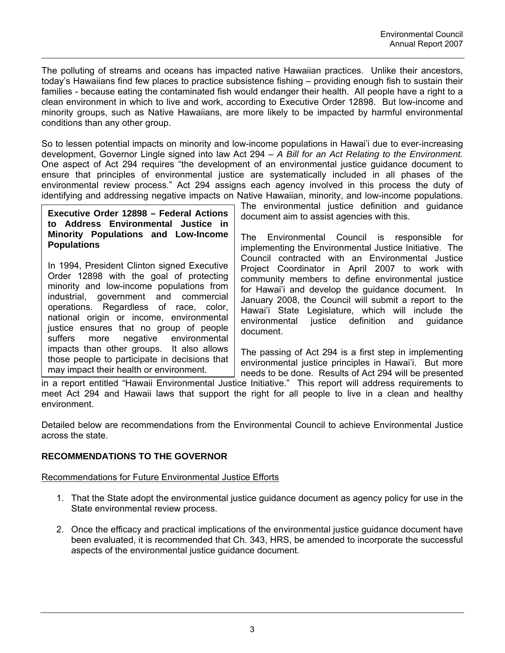The polluting of streams and oceans has impacted native Hawaiian practices. Unlike their ancestors, today's Hawaiians find few places to practice subsistence fishing – providing enough fish to sustain their families - because eating the contaminated fish would endanger their health. All people have a right to a clean environment in which to live and work, according to Executive Order 12898. But low-income and minority groups, such as Native Hawaiians, are more likely to be impacted by harmful environmental conditions than any other group.

So to lessen potential impacts on minority and low-income populations in Hawai'i due to ever-increasing development, Governor Lingle signed into law Act 294 – *A Bill for an Act Relating to the Environment.* One aspect of Act 294 requires "the development of an environmental justice guidance document to ensure that principles of environmental justice are systematically included in all phases of the environmental review process." Act 294 assigns each agency involved in this process the duty of identifying and addressing negative impacts on Native Hawaiian, minority, and low-income populations.

**Executive Order 12898 – Federal Actions to Address Environmental Justice in Minority Populations and Low-Income Populations** 

In 1994, President Clinton signed Executive Order 12898 with the goal of protecting minority and low-income populations from industrial, government and commercial operations. Regardless of race, color, national origin or income, environmental justice ensures that no group of people suffers more negative environmental impacts than other groups. It also allows those people to participate in decisions that may impact their health or environment.

The environmental justice definition and guidance document aim to assist agencies with this.

The Environmental Council is responsible for implementing the Environmental Justice Initiative. The Council contracted with an Environmental Justice Project Coordinator in April 2007 to work with community members to define environmental justice for Hawai'i and develop the guidance document. In January 2008, the Council will submit a report to the Hawai'i State Legislature, which will include the environmental justice definition and guidance document.

The passing of Act 294 is a first step in implementing environmental justice principles in Hawai'i. But more needs to be done. Results of Act 294 will be presented

in a report entitled "Hawaii Environmental Justice Initiative." This report will address requirements to meet Act 294 and Hawaii laws that support the right for all people to live in a clean and healthy environment.

Detailed below are recommendations from the Environmental Council to achieve Environmental Justice across the state.

# **RECOMMENDATIONS TO THE GOVERNOR**

# Recommendations for Future Environmental Justice Efforts

- 1. That the State adopt the environmental justice guidance document as agency policy for use in the State environmental review process.
- 2. Once the efficacy and practical implications of the environmental justice guidance document have been evaluated, it is recommended that Ch. 343, HRS, be amended to incorporate the successful aspects of the environmental justice guidance document.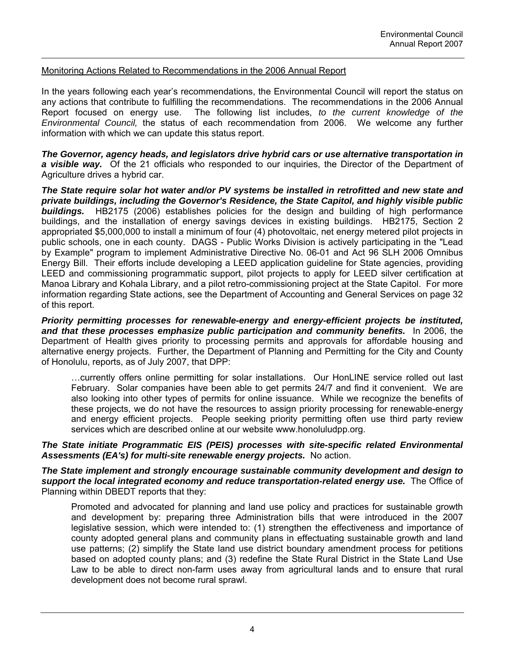### Monitoring Actions Related to Recommendations in the 2006 Annual Report

In the years following each year's recommendations, the Environmental Council will report the status on any actions that contribute to fulfilling the recommendations. The recommendations in the 2006 Annual Report focused on energy use. The following list includes, *to the current knowledge of the Environmental Council,* the status of each recommendation from 2006. We welcome any further information with which we can update this status report.

*The Governor, agency heads, and legislators drive hybrid cars or use alternative transportation in a visible way.* Of the 21 officials who responded to our inquiries, the Director of the Department of Agriculture drives a hybrid car.

*The State require solar hot water and/or PV systems be installed in retrofitted and new state and private buildings, including the Governor's Residence, the State Capitol, and highly visible public buildings.* HB2175 (2006) establishes policies for the design and building of high performance buildings, and the installation of energy savings devices in existing buildings. HB2175, Section 2 appropriated \$5,000,000 to install a minimum of four (4) photovoltaic, net energy metered pilot projects in public schools, one in each county. DAGS - Public Works Division is actively participating in the "Lead by Example" program to implement Administrative Directive No. 06-01 and Act 96 SLH 2006 Omnibus Energy Bill. Their efforts include developing a LEED application guideline for State agencies, providing LEED and commissioning programmatic support, pilot projects to apply for LEED silver certification at Manoa Library and Kohala Library, and a pilot retro-commissioning project at the State Capitol. For more information regarding State actions, see the Department of Accounting and General Services on page 32 of this report.

*Priority permitting processes for renewable-energy and energy-efficient projects be instituted, and that these processes emphasize public participation and community benefits.* In 2006, the Department of Health gives priority to processing permits and approvals for affordable housing and alternative energy projects. Further, the Department of Planning and Permitting for the City and County of Honolulu, reports, as of July 2007, that DPP:

…currently offers online permitting for solar installations. Our HonLINE service rolled out last February. Solar companies have been able to get permits 24/7 and find it convenient. We are also looking into other types of permits for online issuance. While we recognize the benefits of these projects, we do not have the resources to assign priority processing for renewable-energy and energy efficient projects. People seeking priority permitting often use third party review services which are described online at our website www.honoluludpp.org.

*The State initiate Programmatic EIS (PEIS) processes with site-specific related Environmental Assessments (EA's) for multi-site renewable energy projects.* No action.

*The State implement and strongly encourage sustainable community development and design to support the local integrated economy and reduce transportation-related energy use.* The Office of Planning within DBEDT reports that they:

Promoted and advocated for planning and land use policy and practices for sustainable growth and development by: preparing three Administration bills that were introduced in the 2007 legislative session, which were intended to: (1) strengthen the effectiveness and importance of county adopted general plans and community plans in effectuating sustainable growth and land use patterns; (2) simplify the State land use district boundary amendment process for petitions based on adopted county plans; and (3) redefine the State Rural District in the State Land Use Law to be able to direct non-farm uses away from agricultural lands and to ensure that rural development does not become rural sprawl.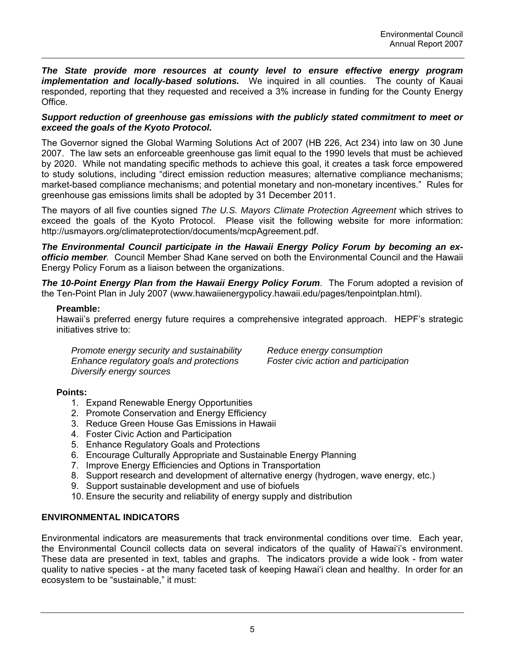*The State provide more resources at county level to ensure effective energy program implementation and locally-based solutions.* We inquired in all counties. The county of Kauai responded, reporting that they requested and received a 3% increase in funding for the County Energy Office.

### *Support reduction of greenhouse gas emissions with the publicly stated commitment to meet or exceed the goals of the Kyoto Protocol.*

The Governor signed the Global Warming Solutions Act of 2007 (HB 226, Act 234) into law on 30 June 2007. The law sets an enforceable greenhouse gas limit equal to the 1990 levels that must be achieved by 2020. While not mandating specific methods to achieve this goal, it creates a task force empowered to study solutions, including "direct emission reduction measures; alternative compliance mechanisms; market-based compliance mechanisms; and potential monetary and non-monetary incentives." Rules for greenhouse gas emissions limits shall be adopted by 31 December 2011.

The mayors of all five counties signed *The U.S. Mayors Climate Protection Agreement* which strives to exceed the goals of the Kyoto Protocol. Please visit the following website for more information: http://usmayors.org/climateprotection/documents/mcpAgreement.pdf.

*The Environmental Council participate in the Hawaii Energy Policy Forum by becoming an exofficio member.* Council Member Shad Kane served on both the Environmental Council and the Hawaii Energy Policy Forum as a liaison between the organizations.

*The 10-Point Energy Plan from the Hawaii Energy Policy Forum*. The Forum adopted a revision of the Ten-Point Plan in July 2007 (www.hawaiienergypolicy.hawaii.edu/pages/tenpointplan.html).

### **Preamble:**

Hawaii's preferred energy future requires a comprehensive integrated approach. HEPF's strategic initiatives strive to:

*Promote energy security and sustainability Reduce energy consumption Enhance regulatory goals and protections Foster civic action and participation Diversify energy sources* 

# **Points:**

- 1. Expand Renewable Energy Opportunities
- 2. Promote Conservation and Energy Efficiency
- 3. Reduce Green House Gas Emissions in Hawaii
- 4. Foster Civic Action and Participation
- 5. Enhance Regulatory Goals and Protections
- 6. Encourage Culturally Appropriate and Sustainable Energy Planning
- 7. Improve Energy Efficiencies and Options in Transportation
- 8. Support research and development of alternative energy (hydrogen, wave energy, etc.)
- 9. Support sustainable development and use of biofuels
- 10. Ensure the security and reliability of energy supply and distribution

# **ENVIRONMENTAL INDICATORS**

Environmental indicators are measurements that track environmental conditions over time. Each year, the Environmental Council collects data on several indicators of the quality of Hawai'i's environment. These data are presented in text, tables and graphs. The indicators provide a wide look - from water quality to native species - at the many faceted task of keeping Hawai'i clean and healthy. In order for an ecosystem to be "sustainable," it must: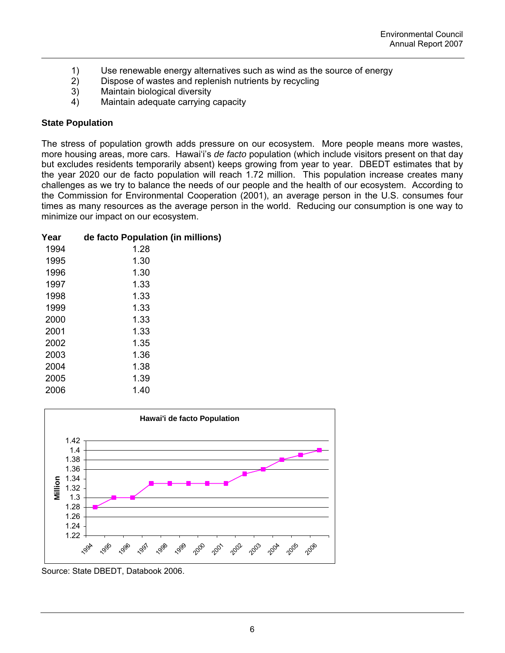- 1) Use renewable energy alternatives such as wind as the source of energy
- 2) Dispose of wastes and replenish nutrients by recycling
- 3) Maintain biological diversity
- 4) Maintain adequate carrying capacity

### **State Population**

The stress of population growth adds pressure on our ecosystem. More people means more wastes, more housing areas, more cars. Hawai'i's *de facto* population (which include visitors present on that day but excludes residents temporarily absent) keeps growing from year to year. DBEDT estimates that by the year 2020 our de facto population will reach 1.72 million. This population increase creates many challenges as we try to balance the needs of our people and the health of our ecosystem. According to the Commission for Environmental Cooperation (2001), an average person in the U.S. consumes four times as many resources as the average person in the world. Reducing our consumption is one way to minimize our impact on our ecosystem.

| Year | de facto Population (in millions) |
|------|-----------------------------------|
| 1994 | 1.28                              |
| 1995 | 1.30                              |
| 1996 | 1.30                              |
| 1997 | 1.33                              |
| 1998 | 1.33                              |
| 1999 | 1.33                              |
| 2000 | 1.33                              |
| 2001 | 1.33                              |
| 2002 | 1.35                              |
| 2003 | 1.36                              |
| 2004 | 1.38                              |
| 2005 | 1.39                              |
| 2006 | 1.40                              |
|      |                                   |



Source: State DBEDT, Databook 2006.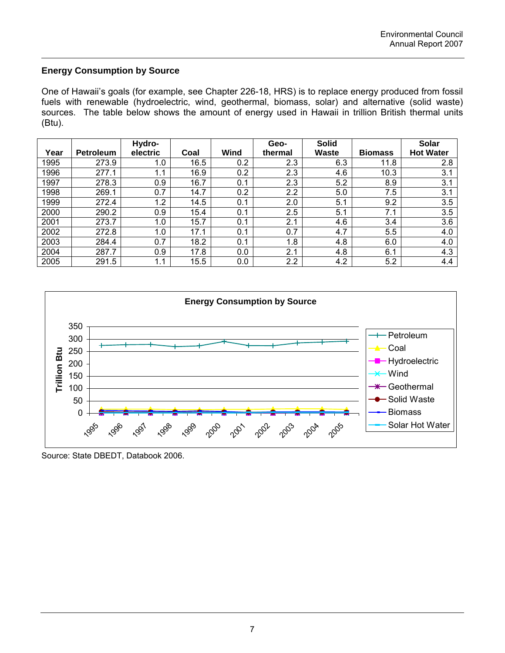# **Energy Consumption by Source**

One of Hawaii's goals (for example, see Chapter 226-18, HRS) is to replace energy produced from fossil fuels with renewable (hydroelectric, wind, geothermal, biomass, solar) and alternative (solid waste) sources. The table below shows the amount of energy used in Hawaii in trillion British thermal units (Btu).

|      |                  | Hydro-   |      |             | Geo-             | <b>Solid</b> |                | <b>Solar</b>     |
|------|------------------|----------|------|-------------|------------------|--------------|----------------|------------------|
| Year | <b>Petroleum</b> | electric | Coal | <b>Wind</b> | thermal          | <b>Waste</b> | <b>Biomass</b> | <b>Hot Water</b> |
| 1995 | 273.9            | 1.0      | 16.5 | 0.2         | 2.3              | 6.3          | 11.8           | 2.8              |
| 1996 | 277.1            | 1.1      | 16.9 | 0.2         | 2.3              | 4.6          | 10.3           | 3.1              |
| 1997 | 278.3            | 0.9      | 16.7 | 0.1         | 2.3              | 5.2          | 8.9            | 3.1              |
| 1998 | 269.1            | 0.7      | 14.7 | 0.2         | 2.2              | 5.0          | 7.5            | 3.1              |
| 1999 | 272.4            | 1.2      | 14.5 | 0.1         | 2.0              | 5.1          | 9.2            | 3.5              |
| 2000 | 290.2            | 0.9      | 15.4 | 0.1         | 2.5              | 5.1          | 7.1            | 3.5              |
| 2001 | 273.7            | 1.0      | 15.7 | 0.1         | 2.1              | 4.6          | 3.4            | 3.6              |
| 2002 | 272.8            | 1.0      | 17.1 | 0.1         | 0.7              | 4.7          | 5.5            | 4.0              |
| 2003 | 284.4            | 0.7      | 18.2 | 0.1         | 1.8              | 4.8          | 6.0            | 4.0              |
| 2004 | 287.7            | 0.9      | 17.8 | 0.0         | 2.1              | 4.8          | 6.1            | 4.3              |
| 2005 | 291.5            | 1.1      | 15.5 | 0.0         | $2.2\phantom{0}$ | 4.2          | 5.2            | 4.4              |



Source: State DBEDT, Databook 2006.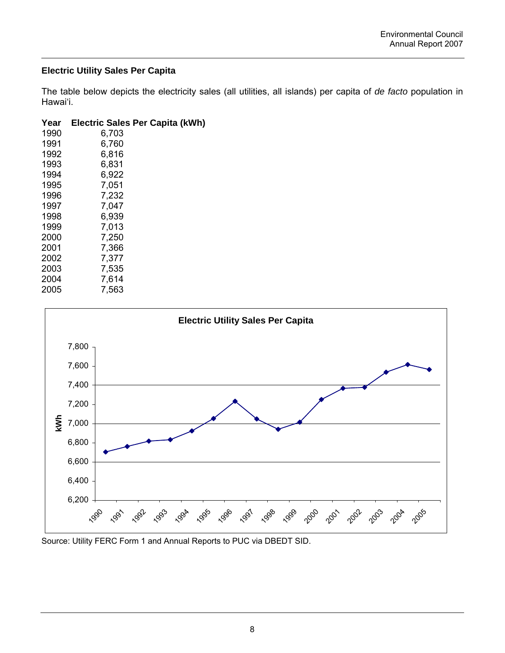# **Electric Utility Sales Per Capita**

The table below depicts the electricity sales (all utilities, all islands) per capita of *de facto* population in Hawai'i.

| Year | Electric Sales Per Capita (kWh) |
|------|---------------------------------|
| 1990 | 6,703                           |
| 1991 | 6,760                           |
| 1992 | 6,816                           |
| 1993 | 6,831                           |
| 1994 | 6,922                           |
| 1995 | 7,051                           |
| 1996 | 7,232                           |
| 1997 | 7,047                           |
| 1998 | 6,939                           |
| 1999 | 7,013                           |
| 2000 | 7,250                           |
| 2001 | 7,366                           |
| 2002 | 7,377                           |
| 2003 | 7,535                           |
| 2004 | 7.614                           |
| 2005 | 7.563                           |



Source: Utility FERC Form 1 and Annual Reports to PUC via DBEDT SID.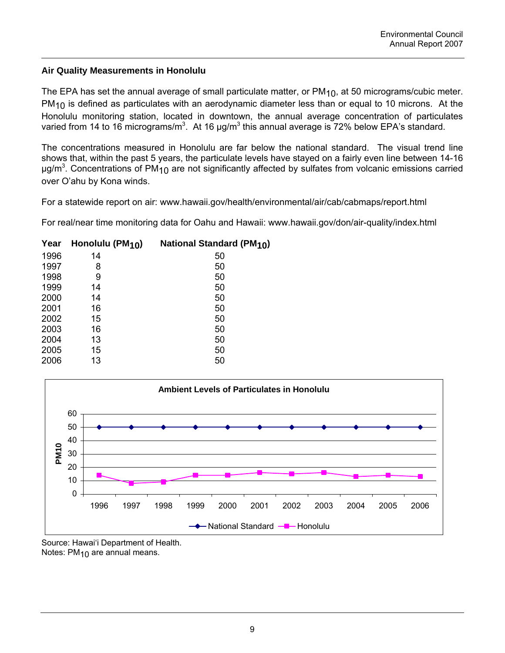# **Air Quality Measurements in Honolulu**

The EPA has set the annual average of small particulate matter, or  $PM<sub>10</sub>$ , at 50 micrograms/cubic meter.  $PM_{10}$  is defined as particulates with an aerodynamic diameter less than or equal to 10 microns. At the Honolulu monitoring station, located in downtown, the annual average concentration of particulates varied from 14 to 16 micrograms/m<sup>3</sup>. At 16  $\mu$ g/m<sup>3</sup> this annual average is 72% below EPA's standard.

The concentrations measured in Honolulu are far below the national standard. The visual trend line shows that, within the past 5 years, the particulate levels have stayed on a fairly even line between 14-16 μg/m<sup>3</sup>. Concentrations of PM<sub>10</sub> are not significantly affected by sulfates from volcanic emissions carried over O'ahu by Kona winds.

For a statewide report on air: www.hawaii.gov/health/environmental/air/cab/cabmaps/report.html

For real/near time monitoring data for Oahu and Hawaii: www.hawaii.gov/don/air-quality/index.html

| Year | Honolulu (PM <sub>10</sub> ) | <b>National Standard (PM10)</b> |
|------|------------------------------|---------------------------------|
| 1996 | 14                           | 50                              |
| 1997 | 8                            | 50                              |
| 1998 | 9                            | 50                              |
| 1999 | 14                           | 50                              |
| 2000 | 14                           | 50                              |
| 2001 | 16                           | 50                              |
| 2002 | 15                           | 50                              |
| 2003 | 16                           | 50                              |
| 2004 | 13                           | 50                              |
| 2005 | 15                           | 50                              |
| 2006 | 13                           | 50                              |



Source: Hawai'i Department of Health. Notes: PM<sub>10</sub> are annual means.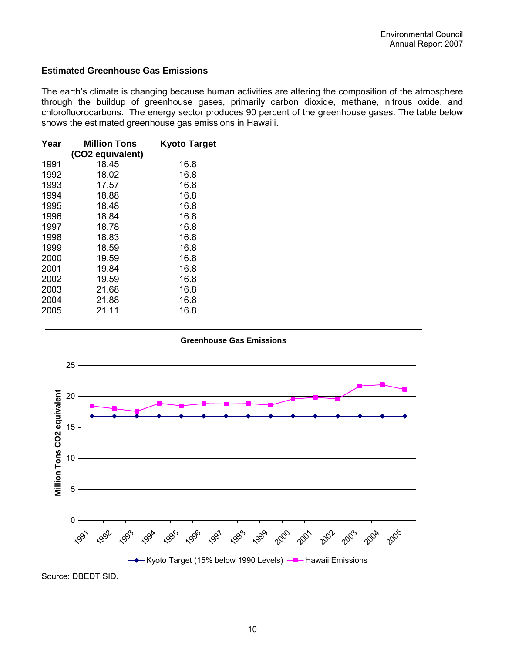# **Estimated Greenhouse Gas Emissions**

The earth's climate is changing because human activities are altering the composition of the atmosphere through the buildup of greenhouse gases, primarily carbon dioxide, methane, nitrous oxide, and chlorofluorocarbons. The energy sector produces 90 percent of the greenhouse gases. The table below shows the estimated greenhouse gas emissions in Hawai'i.

| Year | <b>Million Tons</b> | <b>Kyoto Target</b> |
|------|---------------------|---------------------|
|      | (CO2 equivalent)    |                     |
| 1991 | 18.45               | 16.8                |
| 1992 | 18.02               | 16.8                |
| 1993 | 17.57               | 16.8                |
| 1994 | 18.88               | 16.8                |
| 1995 | 18.48               | 16.8                |
| 1996 | 18.84               | 16.8                |
| 1997 | 18.78               | 16.8                |
| 1998 | 18.83               | 16.8                |
| 1999 | 18.59               | 16.8                |
| 2000 | 19.59               | 16.8                |
| 2001 | 19.84               | 16.8                |
| 2002 | 19.59               | 16.8                |
| 2003 | 21.68               | 16.8                |
| 2004 | 21.88               | 16.8                |
| 2005 | 21.11               | 16.8                |



Source: DBEDT SID.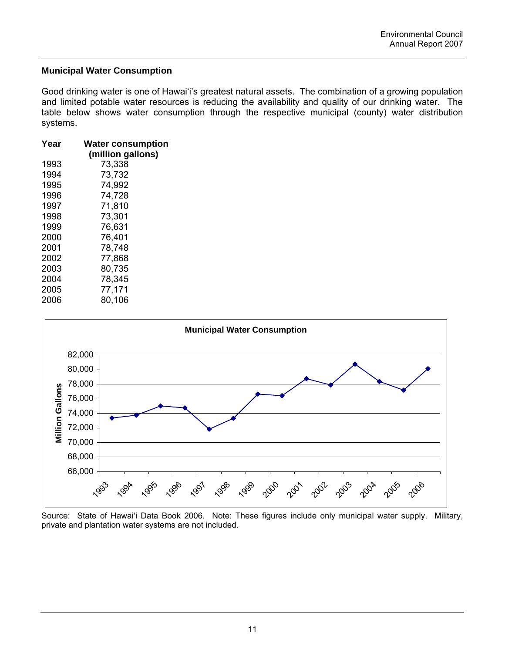# **Municipal Water Consumption**

Good drinking water is one of Hawai'i's greatest natural assets. The combination of a growing population and limited potable water resources is reducing the availability and quality of our drinking water. The table below shows water consumption through the respective municipal (county) water distribution systems.

| Year<br><b>Water consumption</b> |                   |  |
|----------------------------------|-------------------|--|
|                                  | (million gallons) |  |
| 1993                             | 73,338            |  |
| 1994                             | 73,732            |  |
| 1995                             | 74,992            |  |
| 1996                             | 74,728            |  |
| 1997                             | 71,810            |  |
| 1998                             | 73,301            |  |
| 1999                             | 76,631            |  |
| 2000                             | 76,401            |  |
| 2001                             | 78,748            |  |
| 2002                             | 77,868            |  |
| 2003                             | 80,735            |  |
| 2004                             | 78,345            |  |
| 2005                             | 77,171            |  |
| 2006                             | 80,106            |  |



Source: State of Hawai'i Data Book 2006. Note: These figures include only municipal water supply. Military, private and plantation water systems are not included.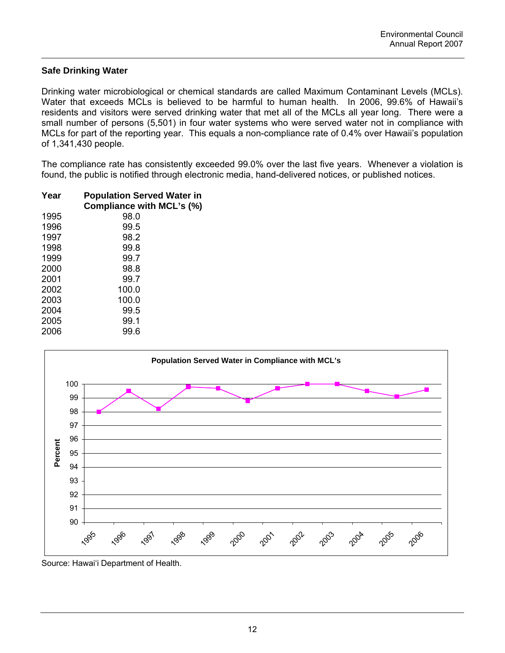# **Safe Drinking Water**

Drinking water microbiological or chemical standards are called Maximum Contaminant Levels (MCLs). Water that exceeds MCLs is believed to be harmful to human health. In 2006, 99.6% of Hawaii's residents and visitors were served drinking water that met all of the MCLs all year long. There were a small number of persons (5,501) in four water systems who were served water not in compliance with MCLs for part of the reporting year. This equals a non-compliance rate of 0.4% over Hawaii's population of 1,341,430 people.

The compliance rate has consistently exceeded 99.0% over the last five years. Whenever a violation is found, the public is notified through electronic media, hand-delivered notices, or published notices.

| Year | <b>Population Served Water in</b> |
|------|-----------------------------------|
|      | Compliance with MCL's (%)         |
| 1995 | 98.0                              |
| 1996 | 99.5                              |
| 1997 | 98.2                              |
| 1998 | 99.8                              |
| 1999 | 99.7                              |
| 2000 | 98.8                              |
| 2001 | 99.7                              |
| 2002 | 100.0                             |
| 2003 | 100.0                             |
| 2004 | 99.5                              |
| 2005 | 99.1                              |
| 2006 | 99.6                              |
|      |                                   |



Source: Hawai'i Department of Health.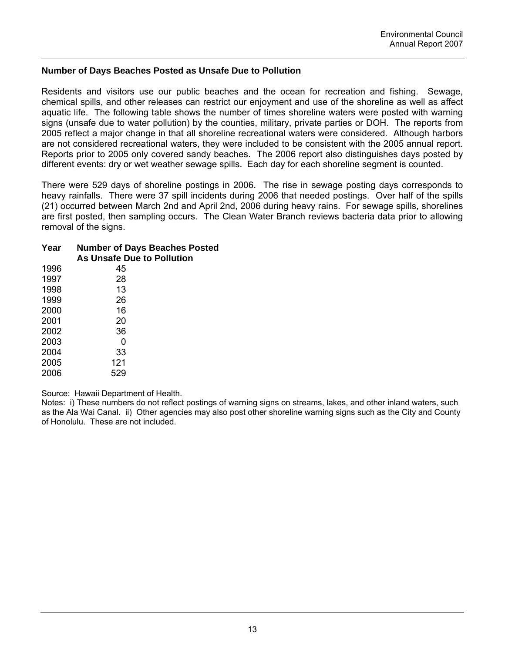# **Number of Days Beaches Posted as Unsafe Due to Pollution**

Residents and visitors use our public beaches and the ocean for recreation and fishing. Sewage, chemical spills, and other releases can restrict our enjoyment and use of the shoreline as well as affect aquatic life. The following table shows the number of times shoreline waters were posted with warning signs (unsafe due to water pollution) by the counties, military, private parties or DOH. The reports from 2005 reflect a major change in that all shoreline recreational waters were considered. Although harbors are not considered recreational waters, they were included to be consistent with the 2005 annual report. Reports prior to 2005 only covered sandy beaches. The 2006 report also distinguishes days posted by different events: dry or wet weather sewage spills. Each day for each shoreline segment is counted.

There were 529 days of shoreline postings in 2006. The rise in sewage posting days corresponds to heavy rainfalls. There were 37 spill incidents during 2006 that needed postings. Over half of the spills (21) occurred between March 2nd and April 2nd, 2006 during heavy rains. For sewage spills, shorelines are first posted, then sampling occurs. The Clean Water Branch reviews bacteria data prior to allowing removal of the signs.

### **Year Number of Days Beaches Posted As Unsafe Due to Pollution**

| 1996 | 45  |
|------|-----|
| 1997 | 28  |
| 1998 | 13  |
| 1999 | 26  |
| 2000 | 16  |
| 2001 | 20  |
| 2002 | 36  |
| 2003 | 0   |
| 2004 | 33  |
| 2005 | 121 |
| 2006 | 529 |

Source: Hawaii Department of Health.

Notes: i) These numbers do not reflect postings of warning signs on streams, lakes, and other inland waters, such as the Ala Wai Canal. ii) Other agencies may also post other shoreline warning signs such as the City and County of Honolulu. These are not included.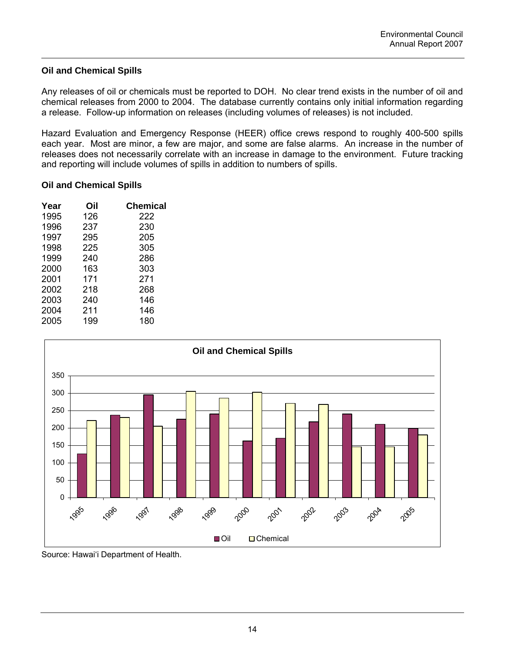# **Oil and Chemical Spills**

Any releases of oil or chemicals must be reported to DOH. No clear trend exists in the number of oil and chemical releases from 2000 to 2004. The database currently contains only initial information regarding a release. Follow-up information on releases (including volumes of releases) is not included.

Hazard Evaluation and Emergency Response (HEER) office crews respond to roughly 400-500 spills each year. Most are minor, a few are major, and some are false alarms. An increase in the number of releases does not necessarily correlate with an increase in damage to the environment. Future tracking and reporting will include volumes of spills in addition to numbers of spills.

### **Oil and Chemical Spills**

| Year | Oil | <b>Chemical</b> |
|------|-----|-----------------|
| 1995 | 126 | 222             |
| 1996 | 237 | 230             |
| 1997 | 295 | 205             |
| 1998 | 225 | 305             |
| 1999 | 240 | 286             |
| 2000 | 163 | 303             |
| 2001 | 171 | 271             |
| 2002 | 218 | 268             |
| 2003 | 240 | 146             |
| 2004 | 211 | 146             |
| 2005 | 199 | 180             |
|      |     |                 |

![](_page_18_Figure_6.jpeg)

Source: Hawai'i Department of Health.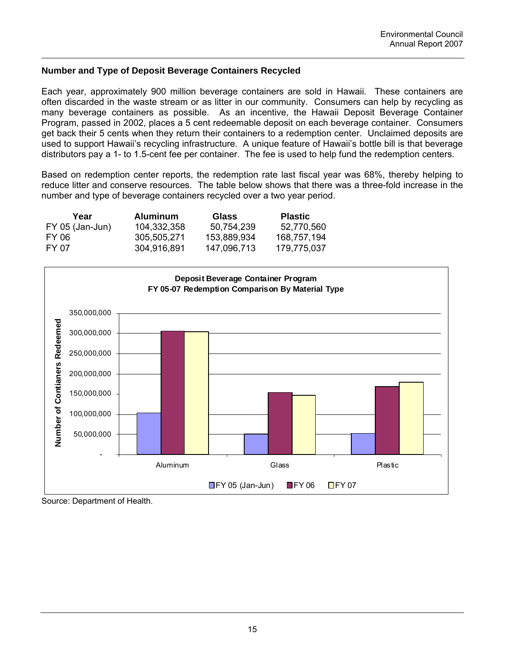# **Number and Type of Deposit Beverage Containers Recycled**

Each year, approximately 900 million beverage containers are sold in Hawaii. These containers are often discarded in the waste stream or as litter in our community. Consumers can help by recycling as many beverage containers as possible. As an incentive, the Hawaii Deposit Beverage Container Program, passed in 2002, places a 5 cent redeemable deposit on each beverage container. Consumers get back their 5 cents when they return their containers to a redemption center. Unclaimed deposits are used to support Hawaii's recycling infrastructure. A unique feature of Hawaii's bottle bill is that beverage distributors pay a 1- to 1.5-cent fee per container. The fee is used to help fund the redemption centers.

Based on redemption center reports, the redemption rate last fiscal year was 68%, thereby helping to reduce litter and conserve resources. The table below shows that there was a three-fold increase in the number and type of beverage containers recycled over a two year period.

| Year            | <b>Aluminum</b> | <b>Glass</b> | <b>Plastic</b> |
|-----------------|-----------------|--------------|----------------|
| FY 05 (Jan-Jun) | 104.332.358     | 50.754.239   | 52.770.560     |
| FY 06           | 305.505.271     | 153.889.934  | 168.757.194    |
| FY 07           | 304.916.891     | 147.096.713  | 179.775.037    |

![](_page_19_Figure_5.jpeg)

Source: Department of Health.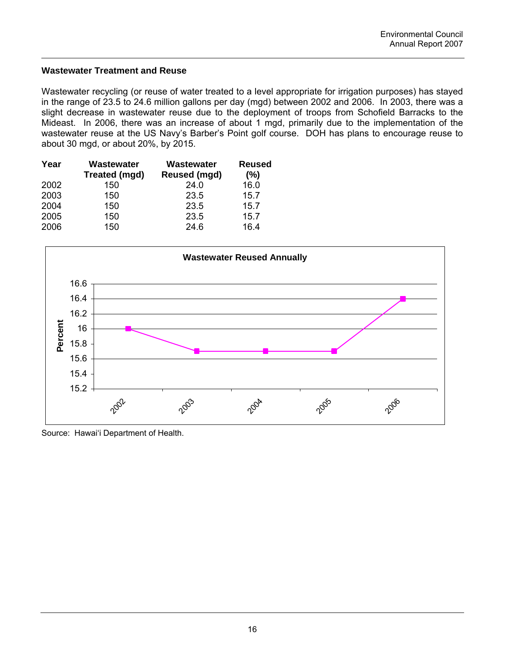# **Wastewater Treatment and Reuse**

Wastewater recycling (or reuse of water treated to a level appropriate for irrigation purposes) has stayed in the range of 23.5 to 24.6 million gallons per day (mgd) between 2002 and 2006. In 2003, there was a slight decrease in wastewater reuse due to the deployment of troops from Schofield Barracks to the Mideast. In 2006, there was an increase of about 1 mgd, primarily due to the implementation of the wastewater reuse at the US Navy's Barber's Point golf course. DOH has plans to encourage reuse to about 30 mgd, or about 20%, by 2015.

| Year | Wastewater           | Wastewater   | <b>Reused</b> |
|------|----------------------|--------------|---------------|
|      | <b>Treated (mgd)</b> | Reused (mgd) | (%)           |
| 2002 | 150                  | 24.0         | 16.0          |
| 2003 | 150                  | 23.5         | 15.7          |
| 2004 | 150                  | 23.5         | 15.7          |
| 2005 | 150                  | 23.5         | 15.7          |
| 2006 | 150                  | 24.6         | 16.4          |

![](_page_20_Figure_4.jpeg)

Source: Hawai'i Department of Health.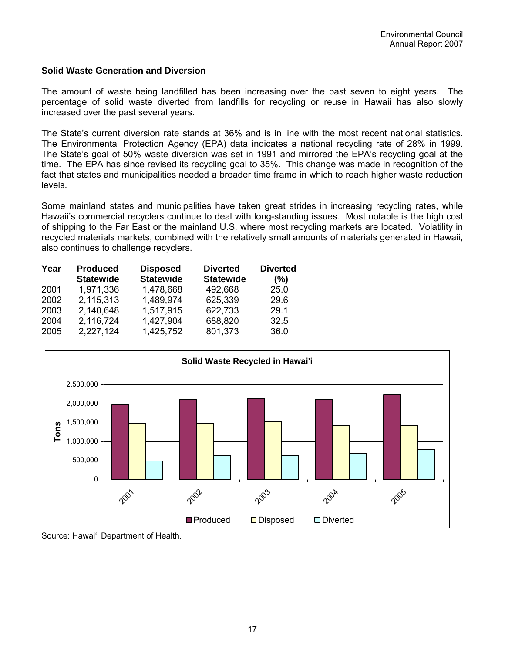### **Solid Waste Generation and Diversion**

The amount of waste being landfilled has been increasing over the past seven to eight years. The percentage of solid waste diverted from landfills for recycling or reuse in Hawaii has also slowly increased over the past several years.

The State's current diversion rate stands at 36% and is in line with the most recent national statistics. The Environmental Protection Agency (EPA) data indicates a national recycling rate of 28% in 1999. The State's goal of 50% waste diversion was set in 1991 and mirrored the EPA's recycling goal at the time. The EPA has since revised its recycling goal to 35%. This change was made in recognition of the fact that states and municipalities needed a broader time frame in which to reach higher waste reduction levels.

Some mainland states and municipalities have taken great strides in increasing recycling rates, while Hawaii's commercial recyclers continue to deal with long-standing issues. Most notable is the high cost of shipping to the Far East or the mainland U.S. where most recycling markets are located. Volatility in recycled materials markets, combined with the relatively small amounts of materials generated in Hawaii, also continues to challenge recyclers.

| Year | <b>Produced</b>  | <b>Disposed</b>  | <b>Diverted</b>  | <b>Diverted</b> |
|------|------------------|------------------|------------------|-----------------|
|      | <b>Statewide</b> | <b>Statewide</b> | <b>Statewide</b> | (%)             |
| 2001 | 1,971,336        | 1,478,668        | 492,668          | 25.0            |
| 2002 | 2,115,313        | 1,489,974        | 625,339          | 29.6            |
| 2003 | 2,140,648        | 1,517,915        | 622,733          | 29.1            |
| 2004 | 2,116,724        | 1,427,904        | 688,820          | 32.5            |
| 2005 | 2,227,124        | 1,425,752        | 801,373          | 36.0            |

![](_page_21_Figure_6.jpeg)

Source: Hawai'i Department of Health.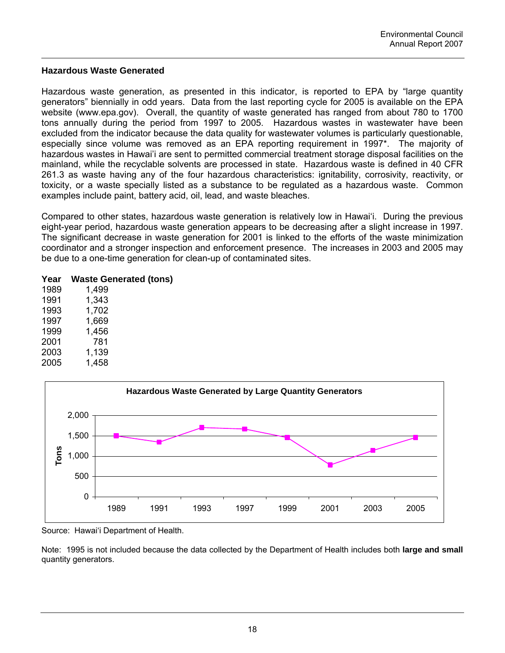### **Hazardous Waste Generated**

Hazardous waste generation, as presented in this indicator, is reported to EPA by "large quantity generators" biennially in odd years. Data from the last reporting cycle for 2005 is available on the EPA website (www.epa.gov). Overall, the quantity of waste generated has ranged from about 780 to 1700 tons annually during the period from 1997 to 2005. Hazardous wastes in wastewater have been excluded from the indicator because the data quality for wastewater volumes is particularly questionable, especially since volume was removed as an EPA reporting requirement in 1997\*. The majority of hazardous wastes in Hawai'i are sent to permitted commercial treatment storage disposal facilities on the mainland, while the recyclable solvents are processed in state. Hazardous waste is defined in 40 CFR 261.3 as waste having any of the four hazardous characteristics: ignitability, corrosivity, reactivity, or toxicity, or a waste specially listed as a substance to be regulated as a hazardous waste. Common examples include paint, battery acid, oil, lead, and waste bleaches.

Compared to other states, hazardous waste generation is relatively low in Hawai'i. During the previous eight-year period, hazardous waste generation appears to be decreasing after a slight increase in 1997. The significant decrease in waste generation for 2001 is linked to the efforts of the waste minimization coordinator and a stronger inspection and enforcement presence. The increases in 2003 and 2005 may be due to a one-time generation for clean-up of contaminated sites.

#### **Year Waste Generated (tons)**  $1,499$

| ı JOJ | כט ד.ו |
|-------|--------|
| 1991  | 1,343  |
| 1993  | 1,702  |
| 1997  | 1,669  |
| 1999  | 1,456  |
| 2001  | 781    |
| 2003  | 1,139  |
| 2005  | 1,458  |

![](_page_22_Figure_6.jpeg)

Source: Hawai'i Department of Health.

Note: 1995 is not included because the data collected by the Department of Health includes both **large and small** quantity generators.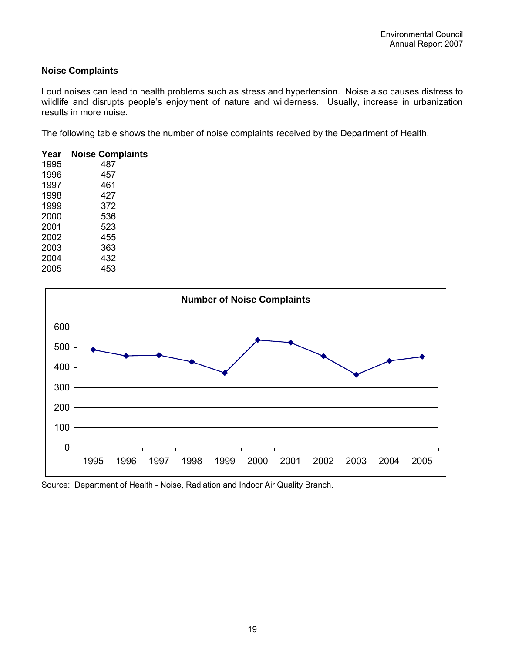# **Noise Complaints**

Loud noises can lead to health problems such as stress and hypertension. Noise also causes distress to wildlife and disrupts people's enjoyment of nature and wilderness. Usually, increase in urbanization results in more noise.

The following table shows the number of noise complaints received by the Department of Health.

| Year | <b>Noise Complaints</b> |
|------|-------------------------|
| 1995 | 487                     |
| 1996 | 457                     |
| 1997 | 461                     |
| 1998 | 427                     |
| 1999 | 372                     |
| 2000 | 536                     |
| 2001 | 523                     |
| 2002 | 455                     |
| 2003 | 363                     |
| 2004 | 432                     |
| 2005 | 453                     |

![](_page_23_Figure_5.jpeg)

Source: Department of Health - Noise, Radiation and Indoor Air Quality Branch.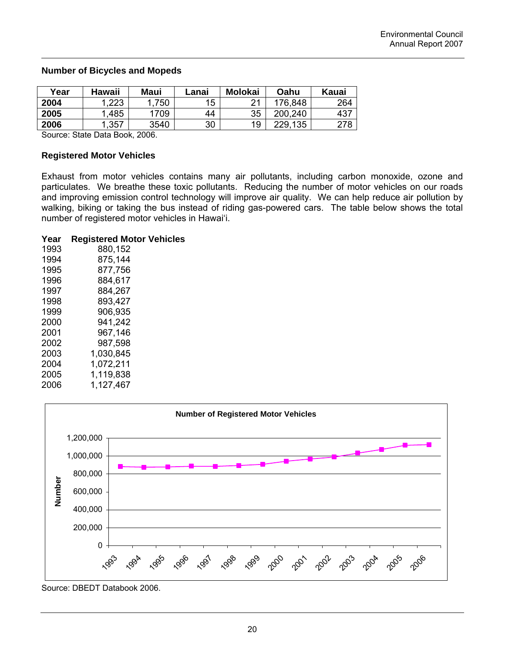### **Number of Bicycles and Mopeds**

| Year | Hawaii | <b>Maui</b> | Lanai | <b>Molokai</b> | Oahu    | Kauai |
|------|--------|-------------|-------|----------------|---------|-------|
| 2004 | .223   | 750         | 15    | ົາ 1           | 176.848 | 264   |
| 2005 | .485   | 709         | 44    | 35             | 200.240 | 437   |
| 2006 | .357   | 3540        | 30    | 19             | 229,135 | 278   |
|      |        |             |       |                |         |       |

Source: State Data Book, 2006.

### **Registered Motor Vehicles**

Exhaust from motor vehicles contains many air pollutants, including carbon monoxide, ozone and particulates. We breathe these toxic pollutants. Reducing the number of motor vehicles on our roads and improving emission control technology will improve air quality. We can help reduce air pollution by walking, biking or taking the bus instead of riding gas-powered cars. The table below shows the total number of registered motor vehicles in Hawai'i.

# **Year Registered Motor Vehicles**

| 1993 | 880,152   |
|------|-----------|
| 1994 | 875,144   |
| 1995 | 877,756   |
| 1996 | 884,617   |
| 1997 | 884,267   |
| 1998 | 893,427   |
| 1999 | 906,935   |
| 2000 | 941,242   |
| 2001 | 967,146   |
| 2002 | 987,598   |
| 2003 | 1.030.845 |
| 2004 | 1,072,211 |
| 2005 | 1,119,838 |
| 2006 | 1,127,467 |

![](_page_24_Figure_8.jpeg)

Source: DBEDT Databook 2006.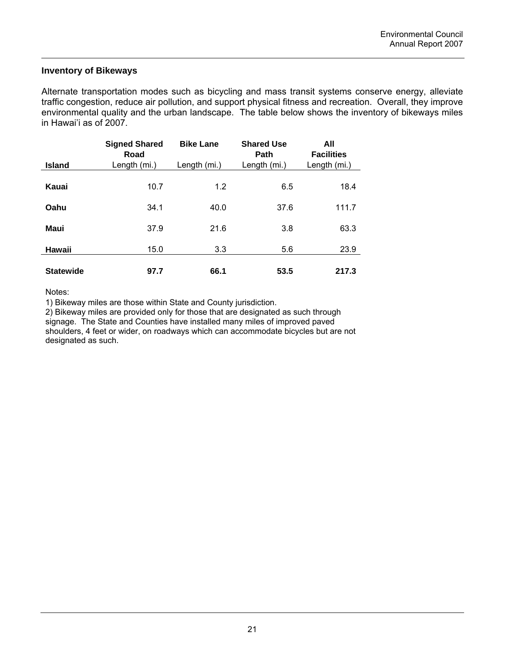# **Inventory of Bikeways**

Alternate transportation modes such as bicycling and mass transit systems conserve energy, alleviate traffic congestion, reduce air pollution, and support physical fitness and recreation. Overall, they improve environmental quality and the urban landscape. The table below shows the inventory of bikeways miles in Hawai'i as of 2007.

| <b>Island</b>    | <b>Signed Shared</b><br>Road<br>Length (mi.) | <b>Bike Lane</b><br>Length (mi.) | <b>Shared Use</b><br>Path<br>Length (mi.) | All<br><b>Facilities</b><br>Length (mi.) |
|------------------|----------------------------------------------|----------------------------------|-------------------------------------------|------------------------------------------|
| Kauai            | 10.7                                         | 1.2                              | 6.5                                       | 18.4                                     |
| Oahu             | 34.1                                         | 40.0                             | 37.6                                      | 111.7                                    |
| <b>Maui</b>      | 37.9                                         | 21.6                             | 3.8                                       | 63.3                                     |
| Hawaii           | 15.0                                         | 3.3                              | 5.6                                       | 23.9                                     |
| <b>Statewide</b> | 97.7                                         | 66.1                             | 53.5                                      | 217.3                                    |

Notes:

1) Bikeway miles are those within State and County jurisdiction.

2) Bikeway miles are provided only for those that are designated as such through

signage. The State and Counties have installed many miles of improved paved shoulders, 4 feet or wider, on roadways which can accommodate bicycles but are not designated as such.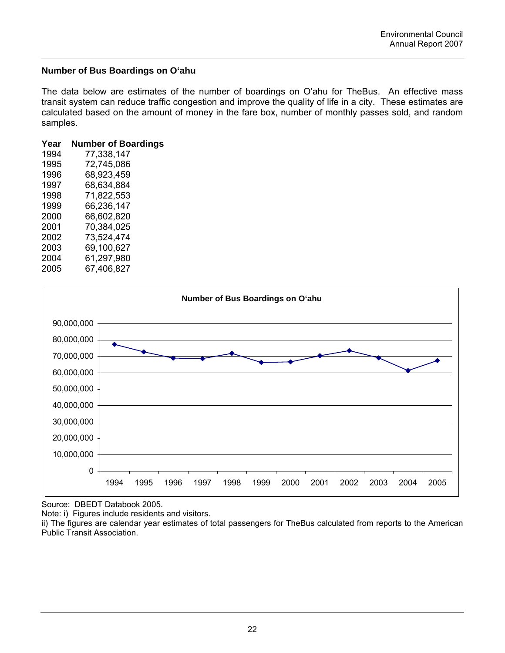# **Number of Bus Boardings on O'ahu**

The data below are estimates of the number of boardings on O'ahu for TheBus. An effective mass transit system can reduce traffic congestion and improve the quality of life in a city. These estimates are calculated based on the amount of money in the fare box, number of monthly passes sold, and random samples.

| Year | <b>Number of Boardings</b> |
|------|----------------------------|
| 1994 | 77,338,147                 |
| 1995 | 72,745,086                 |
| 1996 | 68,923,459                 |
| 1997 | 68,634,884                 |
| 1998 | 71,822,553                 |
| 1999 | 66,236,147                 |
| 2000 | 66,602,820                 |
| 2001 | 70.384.025                 |
| 2002 | 73,524,474                 |
| 2003 | 69,100,627                 |
| 2004 | 61,297,980                 |
| 2005 | 67,406,827                 |

![](_page_26_Figure_4.jpeg)

Source: DBEDT Databook 2005.

Note: i) Figures include residents and visitors.

ii) The figures are calendar year estimates of total passengers for TheBus calculated from reports to the American Public Transit Association.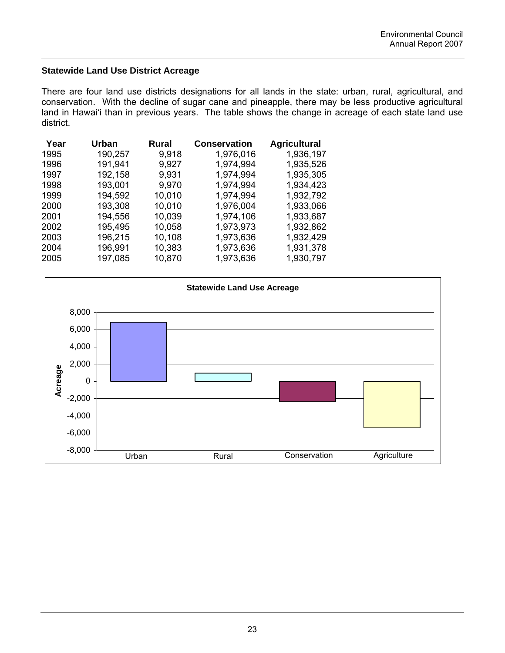# **Statewide Land Use District Acreage**

There are four land use districts designations for all lands in the state: urban, rural, agricultural, and conservation. With the decline of sugar cane and pineapple, there may be less productive agricultural land in Hawai'i than in previous years. The table shows the change in acreage of each state land use district.

| Year | Urban   | <b>Rural</b> | <b>Conservation</b> | <b>Agricultural</b> |
|------|---------|--------------|---------------------|---------------------|
| 1995 | 190,257 | 9,918        | 1,976,016           | 1,936,197           |
| 1996 | 191,941 | 9,927        | 1,974,994           | 1,935,526           |
| 1997 | 192,158 | 9,931        | 1,974,994           | 1,935,305           |
| 1998 | 193,001 | 9,970        | 1,974,994           | 1,934,423           |
| 1999 | 194,592 | 10,010       | 1,974,994           | 1,932,792           |
| 2000 | 193,308 | 10,010       | 1,976,004           | 1,933,066           |
| 2001 | 194,556 | 10,039       | 1,974,106           | 1,933,687           |
| 2002 | 195,495 | 10,058       | 1,973,973           | 1,932,862           |
| 2003 | 196,215 | 10,108       | 1,973,636           | 1,932,429           |
| 2004 | 196,991 | 10,383       | 1,973,636           | 1,931,378           |
| 2005 | 197,085 | 10,870       | 1,973,636           | 1,930,797           |

![](_page_27_Figure_4.jpeg)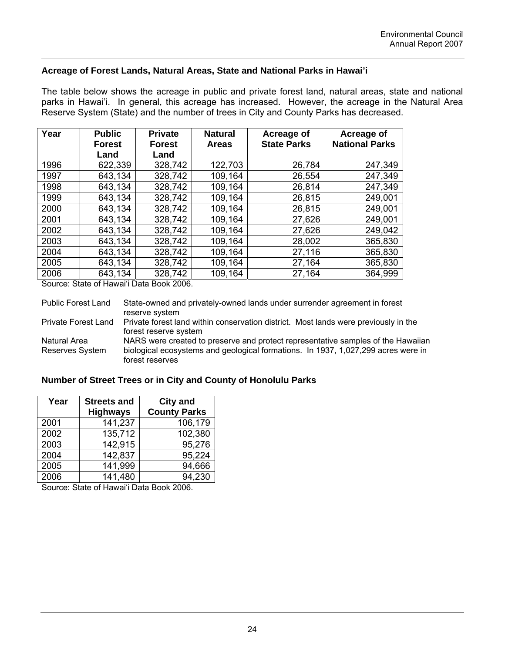### **Acreage of Forest Lands, Natural Areas, State and National Parks in Hawai'i**

The table below shows the acreage in public and private forest land, natural areas, state and national parks in Hawai'i. In general, this acreage has increased. However, the acreage in the Natural Area Reserve System (State) and the number of trees in City and County Parks has decreased.

| Year | <b>Public</b><br><b>Forest</b> | <b>Private</b><br><b>Forest</b> | <b>Natural</b><br>Acreage of<br><b>State Parks</b><br><b>Areas</b> |        | Acreage of<br><b>National Parks</b> |  |
|------|--------------------------------|---------------------------------|--------------------------------------------------------------------|--------|-------------------------------------|--|
|      | Land                           | Land                            |                                                                    |        |                                     |  |
| 1996 | 622,339                        | 328,742                         | 122,703                                                            | 26,784 | 247,349                             |  |
| 1997 | 643,134                        | 328,742                         | 109,164                                                            | 26,554 | 247,349                             |  |
| 1998 | 643,134                        | 328,742                         | 109,164                                                            | 26,814 | 247,349                             |  |
| 1999 | 643,134                        | 328,742                         | 109,164                                                            | 26,815 | 249,001                             |  |
| 2000 | 643,134                        | 328,742                         | 109,164                                                            | 26,815 | 249,001                             |  |
| 2001 | 643,134                        | 328,742                         | 109,164                                                            | 27,626 | 249,001                             |  |
| 2002 | 643,134                        | 328,742                         | 109,164                                                            | 27,626 | 249,042                             |  |
| 2003 | 643,134                        | 328,742                         | 109,164                                                            | 28,002 | 365,830                             |  |
| 2004 | 643,134                        | 328,742                         | 109,164                                                            | 27,116 | 365,830                             |  |
| 2005 | 643,134                        | 328,742                         | 109,164                                                            | 27,164 | 365,830                             |  |
| 2006 | 643,134                        | 328,742                         | 109,164                                                            | 27,164 | 364,999                             |  |

Source: State of Hawai'i Data Book 2006.

Public Forest Land State-owned and privately-owned lands under surrender agreement in forest reserve system Private Forest Land Private forest land within conservation district. Most lands were previously in the forest reserve system Natural Area Reserves System NARS were created to preserve and protect representative samples of the Hawaiian biological ecosystems and geological formations. In 1937, 1,027,299 acres were in forest reserves

### **Number of Street Trees or in City and County of Honolulu Parks**

| Year | <b>Streets and</b> | <b>City and</b>     |
|------|--------------------|---------------------|
|      | <b>Highways</b>    | <b>County Parks</b> |
| 2001 | 141,237            | 106,179             |
| 2002 | 135,712            | 102,380             |
| 2003 | 142,915            | 95,276              |
| 2004 | 142,837            | 95,224              |
| 2005 | 141,999            | 94,666              |
| 2006 | 141,480            | 94,230              |

Source: State of Hawai'i Data Book 2006.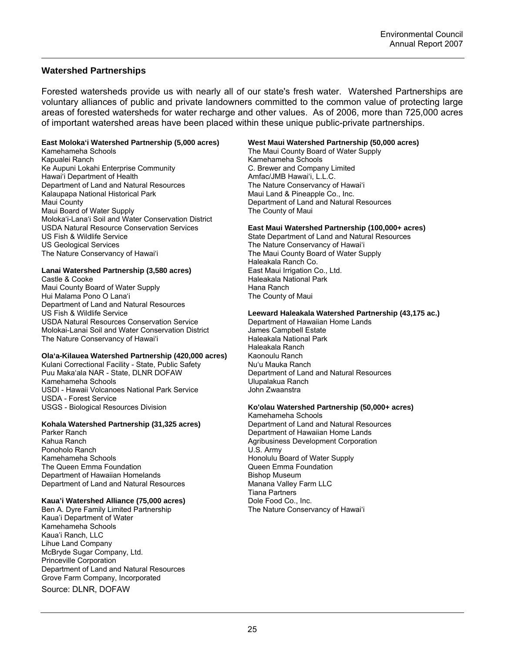### **Watershed Partnerships**

Forested watersheds provide us with nearly all of our state's fresh water. Watershed Partnerships are voluntary alliances of public and private landowners committed to the common value of protecting large areas of forested watersheds for water recharge and other values. As of 2006, more than 725,000 acres of important watershed areas have been placed within these unique public-private partnerships.

#### **East Moloka'i Watershed Partnership (5,000 acres)**

Kamehameha Schools Kapualei Ranch Ke Aupuni Lokahi Enterprise Community Hawai'i Department of Health Department of Land and Natural Resources Kalaupapa National Historical Park Maui County Maui Board of Water Supply Moloka'i-Lana'i Soil and Water Conservation District USDA Natural Resource Conservation Services US Fish & Wildlife Service US Geological Services The Nature Conservancy of Hawai'i

#### **Lanai Watershed Partnership (3,580 acres)**

Castle & Cooke Maui County Board of Water Supply Hui Malama Pono O Lana'i Department of Land and Natural Resources US Fish & Wildlife Service USDA Natural Resources Conservation Service Molokai-Lanai Soil and Water Conservation District The Nature Conservancy of Hawai'i

#### **Ola'a-Kilauea Watershed Partnership (420,000 acres)**

Kulani Correctional Facility - State, Public Safety Puu Maka'ala NAR - State, DLNR DOFAW Kamehameha Schools USDI - Hawaii Volcanoes National Park Service USDA - Forest Service USGS - Biological Resources Division

#### **Kohala Watershed Partnership (31,325 acres)**

Parker Ranch Kahua Ranch Ponoholo Ranch Kamehameha Schools The Queen Emma Foundation Department of Hawaiian Homelands Department of Land and Natural Resources

#### **Kaua'i Watershed Alliance (75,000 acres)**

Ben A. Dyre Family Limited Partnership Kaua'i Department of Water Kamehameha Schools Kaua'i Ranch, LLC Lihue Land Company McBryde Sugar Company, Ltd. Princeville Corporation Department of Land and Natural Resources Grove Farm Company, Incorporated

Source: DLNR, DOFAW

#### **West Maui Watershed Partnership (50,000 acres)**

The Maui County Board of Water Supply Kamehameha Schools C. Brewer and Company Limited Amfac/JMB Hawai'i, L.L.C. The Nature Conservancy of Hawai'i Maui Land & Pineapple Co., Inc. Department of Land and Natural Resources The County of Maui

#### **East Maui Watershed Partnership (100,000+ acres)**

State Department of Land and Natural Resources The Nature Conservancy of Hawai'i The Maui County Board of Water Supply Haleakala Ranch Co. East Maui Irrigation Co., Ltd. Haleakala National Park Hana Ranch The County of Maui

#### **Leeward Haleakala Watershed Partnership (43,175 ac.)**

Department of Hawaiian Home Lands James Campbell Estate Haleakala National Park Haleakala Ranch Kaonoulu Ranch Nu'u Mauka Ranch Department of Land and Natural Resources Ulupalakua Ranch John Zwaanstra

#### **Ko'olau Watershed Partnership (50,000+ acres)**

Kamehameha Schools Department of Land and Natural Resources Department of Hawaiian Home Lands Agribusiness Development Corporation U.S. Army Honolulu Board of Water Supply Queen Emma Foundation Bishop Museum Manana Valley Farm LLC Tiana Partners Dole Food Co., Inc. The Nature Conservancy of Hawai'i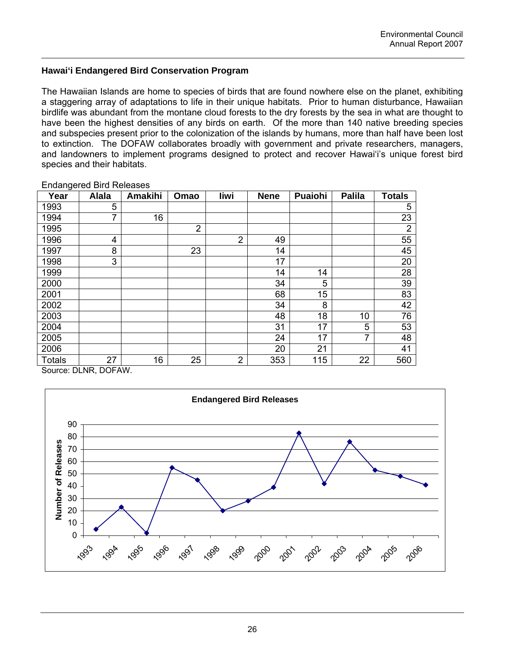### **Hawai'i Endangered Bird Conservation Program**

The Hawaiian Islands are home to species of birds that are found nowhere else on the planet, exhibiting a staggering array of adaptations to life in their unique habitats. Prior to human disturbance, Hawaiian birdlife was abundant from the montane cloud forests to the dry forests by the sea in what are thought to have been the highest densities of any birds on earth. Of the more than 140 native breeding species and subspecies present prior to the colonization of the islands by humans, more than half have been lost to extinction. The DOFAW collaborates broadly with government and private researchers, managers, and landowners to implement programs designed to protect and recover Hawai'i's unique forest bird species and their habitats.

| Year          | <b>Alala</b> | <b>Amakihi</b> | Omao           | liwi           | <b>Nene</b> | Puaiohi | <b>Palila</b>  | <b>Totals</b>  |
|---------------|--------------|----------------|----------------|----------------|-------------|---------|----------------|----------------|
| 1993          | 5            |                |                |                |             |         |                | 5              |
| 1994          | 7            | 16             |                |                |             |         |                | 23             |
| 1995          |              |                | $\overline{2}$ |                |             |         |                | $\overline{2}$ |
| 1996          | 4            |                |                | $\overline{2}$ | 49          |         |                | 55             |
| 1997          | 8            |                | 23             |                | 14          |         |                | 45             |
| 1998          | 3            |                |                |                | 17          |         |                | 20             |
| 1999          |              |                |                |                | 14          | 14      |                | 28             |
| 2000          |              |                |                |                | 34          | 5       |                | 39             |
| 2001          |              |                |                |                | 68          | 15      |                | 83             |
| 2002          |              |                |                |                | 34          | 8       |                | 42             |
| 2003          |              |                |                |                | 48          | 18      | 10             | 76             |
| 2004          |              |                |                |                | 31          | 17      | 5              | 53             |
| 2005          |              |                |                |                | 24          | 17      | $\overline{7}$ | 48             |
| 2006          |              |                |                |                | 20          | 21      |                | 41             |
| <b>Totals</b> | 27           | 16             | 25             | $\overline{2}$ | 353         | 115     | 22             | 560            |

Endangered Bird Releases

Source: DLNR, DOFAW.

![](_page_30_Figure_6.jpeg)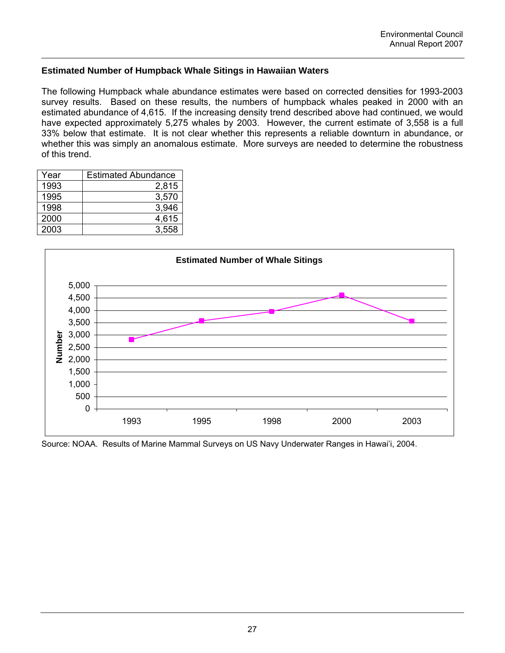# **Estimated Number of Humpback Whale Sitings in Hawaiian Waters**

The following Humpback whale abundance estimates were based on corrected densities for 1993-2003 survey results. Based on these results, the numbers of humpback whales peaked in 2000 with an estimated abundance of 4,615. If the increasing density trend described above had continued, we would have expected approximately 5,275 whales by 2003. However, the current estimate of 3,558 is a full 33% below that estimate. It is not clear whether this represents a reliable downturn in abundance, or whether this was simply an anomalous estimate. More surveys are needed to determine the robustness of this trend.

| Year | <b>Estimated Abundance</b> |
|------|----------------------------|
| 1993 | 2,815                      |
| 1995 | 3,570                      |
| 1998 | 3,946                      |
| 2000 | 4,615                      |
| 2003 | 3.558                      |

![](_page_31_Figure_4.jpeg)

Source: NOAA. Results of Marine Mammal Surveys on US Navy Underwater Ranges in Hawai'i, 2004.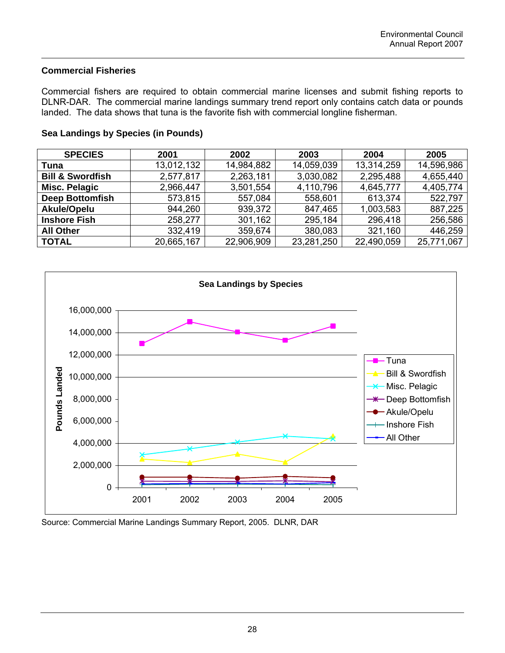# **Commercial Fisheries**

Commercial fishers are required to obtain commercial marine licenses and submit fishing reports to DLNR-DAR. The commercial marine landings summary trend report only contains catch data or pounds landed. The data shows that tuna is the favorite fish with commercial longline fisherman.

| <b>SPECIES</b>              | 2001       | 2002       | 2003       | 2004       | 2005       |  |
|-----------------------------|------------|------------|------------|------------|------------|--|
| Tuna                        | 13,012,132 | 14,984,882 | 14,059,039 | 13,314,259 | 14,596,986 |  |
| <b>Bill &amp; Swordfish</b> | 2,577,817  | 2,263,181  | 3,030,082  | 2,295,488  | 4,655,440  |  |
| <b>Misc. Pelagic</b>        | 2,966,447  | 3,501,554  | 4,110,796  | 4,645,777  | 4,405,774  |  |
| <b>Deep Bottomfish</b>      | 573,815    | 557,084    | 558,601    | 613,374    | 522,797    |  |
| Akule/Opelu                 | 944,260    | 939,372    | 847,465    | 1,003,583  | 887,225    |  |
| <b>Inshore Fish</b>         | 258,277    | 301,162    | 295,184    | 296,418    | 256,586    |  |
| <b>All Other</b>            | 332,419    | 359,674    | 380,083    | 321,160    | 446,259    |  |
| <b>TOTAL</b>                | 20,665,167 | 22,906,909 | 23,281,250 | 22,490,059 | 25,771,067 |  |

# **Sea Landings by Species (in Pounds)**

![](_page_32_Figure_5.jpeg)

Source: Commercial Marine Landings Summary Report, 2005. DLNR, DAR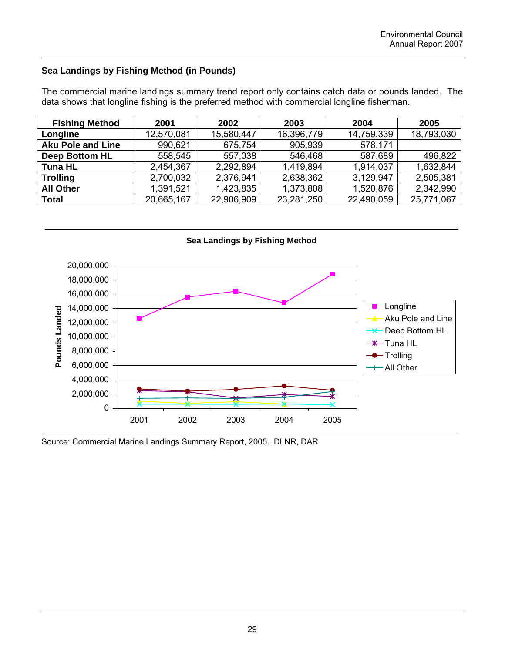# **Sea Landings by Fishing Method (in Pounds)**

The commercial marine landings summary trend report only contains catch data or pounds landed. The data shows that longline fishing is the preferred method with commercial longline fisherman.

| <b>Fishing Method</b>    | 2001       | 2002       | 2003       | 2004       | 2005       |  |
|--------------------------|------------|------------|------------|------------|------------|--|
| Longline                 | 12,570,081 | 15,580,447 | 16,396,779 | 14,759,339 | 18,793,030 |  |
| <b>Aku Pole and Line</b> | 990,621    | 675,754    | 905,939    | 578,171    |            |  |
| <b>Deep Bottom HL</b>    | 558,545    | 557,038    | 546,468    | 587,689    | 496,822    |  |
| <b>Tuna HL</b>           | 2,454,367  | 2,292,894  | 1,419,894  | 1,914,037  | 1,632,844  |  |
| <b>Trolling</b>          | 2,700,032  | 2,376,941  | 2,638,362  | 3,129,947  | 2,505,381  |  |
| <b>All Other</b>         | 1,391,521  | 1,423,835  | 1,373,808  | 1,520,876  | 2,342,990  |  |
| <b>Total</b>             | 20,665,167 | 22,906,909 | 23,281,250 | 22,490,059 | 25,771,067 |  |

![](_page_33_Figure_4.jpeg)

Source: Commercial Marine Landings Summary Report, 2005. DLNR, DAR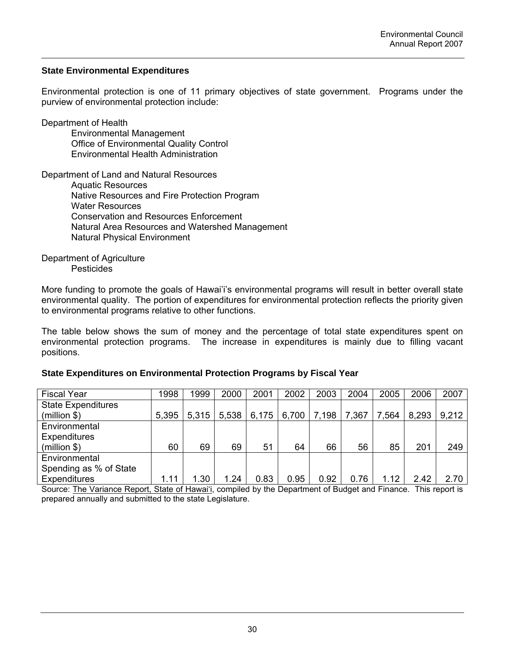# **State Environmental Expenditures**

Environmental protection is one of 11 primary objectives of state government. Programs under the purview of environmental protection include:

Department of Health Environmental Management Office of Environmental Quality Control Environmental Health Administration

Department of Land and Natural Resources Aquatic Resources Native Resources and Fire Protection Program Water Resources Conservation and Resources Enforcement Natural Area Resources and Watershed Management Natural Physical Environment

Department of Agriculture **Pesticides** 

More funding to promote the goals of Hawai'i's environmental programs will result in better overall state environmental quality. The portion of expenditures for environmental protection reflects the priority given to environmental programs relative to other functions.

The table below shows the sum of money and the percentage of total state expenditures spent on environmental protection programs. The increase in expenditures is mainly due to filling vacant positions.

### **State Expenditures on Environmental Protection Programs by Fiscal Year**

| <b>Fiscal Year</b>        | 1998  | 1999  | 2000  | 2001  | 2002  | 2003  | 2004  | 2005  | 2006  | 2007  |
|---------------------------|-------|-------|-------|-------|-------|-------|-------|-------|-------|-------|
| <b>State Expenditures</b> |       |       |       |       |       |       |       |       |       |       |
| (million \$)              | 5,395 | 5,315 | 5,538 | 6,175 | 6,700 | 7,198 | 7,367 | 7,564 | 8,293 | 9,212 |
| Environmental             |       |       |       |       |       |       |       |       |       |       |
| <b>Expenditures</b>       |       |       |       |       |       |       |       |       |       |       |
| (million \$)              | 60    | 69    | 69    | 51    | 64    | 66    | 56    | 85    | 201   | 249   |
| Environmental             |       |       |       |       |       |       |       |       |       |       |
| Spending as % of State    |       |       |       |       |       |       |       |       |       |       |
| <b>Expenditures</b>       | 1.11  | 1.30  | 1.24  | 0.83  | 0.95  | 0.92  | 0.76  | 1.12  | 2.42  | 2.70  |

Source: The Variance Report, State of Hawai'i, compiled by the Department of Budget and Finance. This report is prepared annually and submitted to the state Legislature.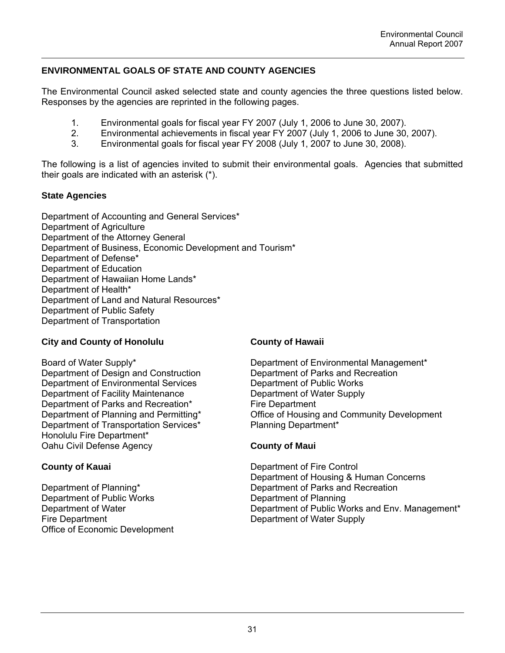# **ENVIRONMENTAL GOALS OF STATE AND COUNTY AGENCIES**

The Environmental Council asked selected state and county agencies the three questions listed below. Responses by the agencies are reprinted in the following pages.

- 1. Environmental goals for fiscal year FY 2007 (July 1, 2006 to June 30, 2007).
- 2. Environmental achievements in fiscal year FY 2007 (July 1, 2006 to June 30, 2007).<br>3. Environmental goals for fiscal year FY 2008 (July 1, 2007 to June 30, 2008).
- Environmental goals for fiscal year FY 2008 (July 1, 2007 to June 30, 2008).

The following is a list of agencies invited to submit their environmental goals. Agencies that submitted their goals are indicated with an asterisk (\*).

### **State Agencies**

Department of Accounting and General Services\* Department of Agriculture Department of the Attorney General Department of Business, Economic Development and Tourism\* Department of Defense\* Department of Education Department of Hawaiian Home Lands\* Department of Health\* Department of Land and Natural Resources\* Department of Public Safety Department of Transportation

# **City and County of Honolulu**

Board of Water Supply\* Department of Design and Construction Department of Environmental Services Department of Facility Maintenance Department of Parks and Recreation\* Department of Planning and Permitting\* Department of Transportation Services\* Honolulu Fire Department\* Oahu Civil Defense Agency

# **County of Kauai**

Department of Planning\* Department of Public Works Department of Water Fire Department Office of Economic Development

### **County of Hawaii**

Department of Environmental Management\* Department of Parks and Recreation Department of Public Works Department of Water Supply Fire Department Office of Housing and Community Development Planning Department\*

# **County of Maui**

Department of Fire Control Department of Housing & Human Concerns Department of Parks and Recreation Department of Planning Department of Public Works and Env. Management\* Department of Water Supply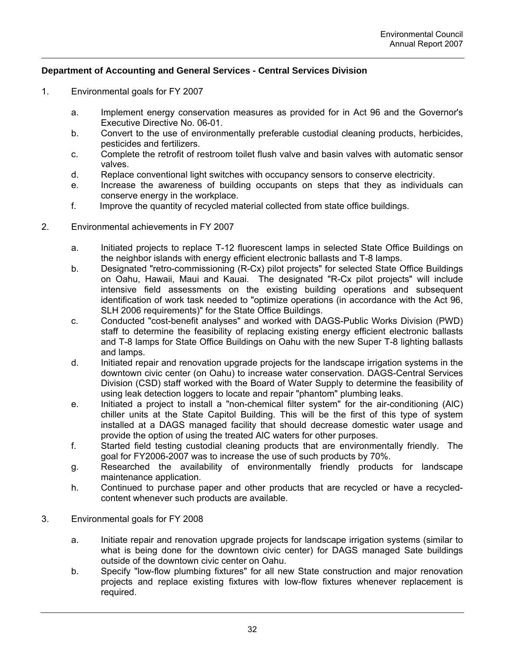# **Department of Accounting and General Services - Central Services Division**

- 1. Environmental goals for FY 2007
	- a. Implement energy conservation measures as provided for in Act 96 and the Governor's Executive Directive No. 06-01.
	- b. Convert to the use of environmentally preferable custodial cleaning products, herbicides, pesticides and fertilizers.
	- c. Complete the retrofit of restroom toilet flush valve and basin valves with automatic sensor valves.
	- d. Replace conventional light switches with occupancy sensors to conserve electricity.
	- e. Increase the awareness of building occupants on steps that they as individuals can conserve energy in the workplace.
	- f. Improve the quantity of recycled material collected from state office buildings.
- 2. Environmental achievements in FY 2007
	- a. Initiated projects to replace T-12 fluorescent lamps in selected State Office Buildings on the neighbor islands with energy efficient electronic ballasts and T-8 lamps.
	- b. Designated "retro-commissioning (R-Cx) pilot projects" for selected State Office Buildings on Oahu, Hawaii, Maui and Kauai. The designated "R-Cx pilot projects" will include intensive field assessments on the existing building operations and subsequent identification of work task needed to "optimize operations (in accordance with the Act 96, SLH 2006 requirements)" for the State Office Buildings.
	- c. Conducted "cost-benefit analyses" and worked with DAGS-Public Works Division (PWD) staff to determine the feasibility of replacing existing energy efficient electronic ballasts and T-8 lamps for State Office Buildings on Oahu with the new Super T-8 lighting ballasts and lamps.
	- d. Initiated repair and renovation upgrade projects for the landscape irrigation systems in the downtown civic center (on Oahu) to increase water conservation. DAGS-Central Services Division (CSD) staff worked with the Board of Water Supply to determine the feasibility of using leak detection loggers to locate and repair "phantom" plumbing leaks.
	- e. Initiated a project to install a "non-chemical filter system" for the air-conditioning (AlC) chiller units at the State Capitol Building. This will be the first of this type of system installed at a DAGS managed facility that should decrease domestic water usage and provide the option of using the treated AlC waters for other purposes.
	- f. Started field testing custodial cleaning products that are environmentally friendly. The goal for FY2006-2007 was to increase the use of such products by 70%.
	- g. Researched the availability of environmentally friendly products for landscape maintenance application.
	- h. Continued to purchase paper and other products that are recycled or have a recycledcontent whenever such products are available.
- 3. Environmental goals for FY 2008
	- a. Initiate repair and renovation upgrade projects for landscape irrigation systems (similar to what is being done for the downtown civic center) for DAGS managed Sate buildings outside of the downtown civic center on Oahu.
	- b. Specify "low-flow plumbing fixtures" for all new State construction and major renovation projects and replace existing fixtures with low-flow fixtures whenever replacement is required.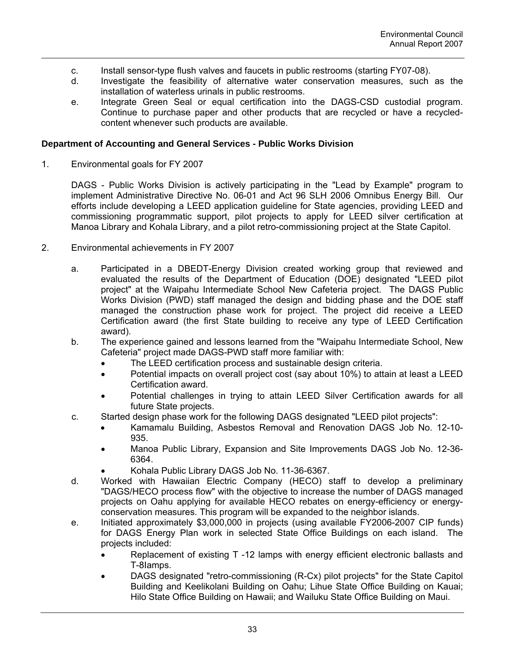- c. Install sensor-type flush valves and faucets in public restrooms (starting FY07-08).
- d. Investigate the feasibility of alternative water conservation measures, such as the installation of waterless urinals in public restrooms.
- e. Integrate Green Seal or equal certification into the DAGS-CSD custodial program. Continue to purchase paper and other products that are recycled or have a recycledcontent whenever such products are available.

### **Department of Accounting and General Services - Public Works Division**

1. Environmental goals for FY 2007

DAGS - Public Works Division is actively participating in the "Lead by Example" program to implement Administrative Directive No. 06-01 and Act 96 SLH 2006 Omnibus Energy Bill. Our efforts include developing a LEED application guideline for State agencies, providing LEED and commissioning programmatic support, pilot projects to apply for LEED silver certification at Manoa Library and Kohala Library, and a pilot retro-commissioning project at the State Capitol.

- 2. Environmental achievements in FY 2007
	- a. Participated in a DBEDT-Energy Division created working group that reviewed and evaluated the results of the Department of Education (DOE) designated "LEED pilot project" at the Waipahu Intermediate School New Cafeteria project. The DAGS Public Works Division (PWD) staff managed the design and bidding phase and the DOE staff managed the construction phase work for project. The project did receive a LEED Certification award (the first State building to receive any type of LEED Certification award).
	- b. The experience gained and lessons learned from the "Waipahu Intermediate School, New Cafeteria" project made DAGS-PWD staff more familiar with:
		- The LEED certification process and sustainable design criteria.
		- Potential impacts on overall project cost (say about 10%) to attain at least a LEED Certification award.
		- Potential challenges in trying to attain LEED Silver Certification awards for all future State projects.
	- c. Started design phase work for the following DAGS designated "LEED pilot projects":
		- Kamamalu Building, Asbestos Removal and Renovation DAGS Job No. 12-10- 935.
		- Manoa Public Library, Expansion and Site Improvements DAGS Job No. 12-36- 6364.
			- Kohala Public Library DAGS Job No. 11-36-6367.
	- d. Worked with Hawaiian Electric Company (HECO) staff to develop a preliminary "DAGS/HECO process flow" with the objective to increase the number of DAGS managed projects on Oahu applying for available HECO rebates on energy-efficiency or energyconservation measures. This program will be expanded to the neighbor islands.
	- e. Initiated approximately \$3,000,000 in projects (using available FY2006-2007 CIP funds) for DAGS Energy Plan work in selected State Office Buildings on each island. The projects included:
		- Replacement of existing T -12 lamps with energy efficient electronic ballasts and T-8Iamps.
		- DAGS designated "retro-commissioning (R-Cx) pilot projects" for the State Capitol Building and Keelikolani Building on Oahu; Lihue State Office Building on Kauai; Hilo State Office Building on Hawaii; and Wailuku State Office Building on Maui.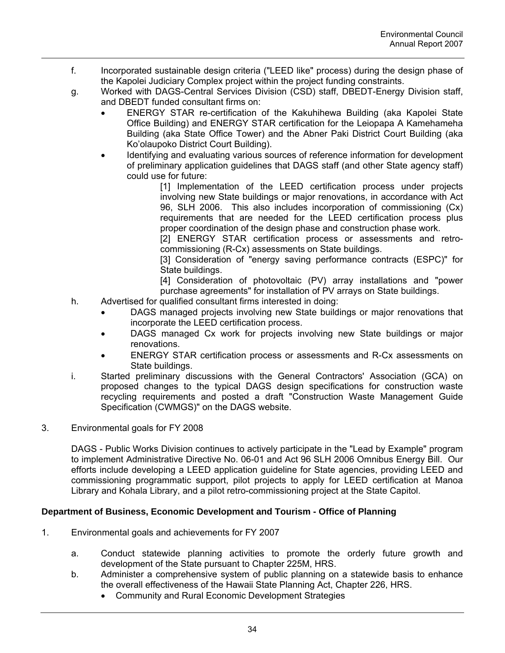- f. Incorporated sustainable design criteria ("LEED like" process) during the design phase of the Kapolei Judiciary Complex project within the project funding constraints.
- g. Worked with DAGS-Central Services Division (CSD) staff, DBEDT-Energy Division staff, and DBEDT funded consultant firms on:
	- ENERGY STAR re-certification of the Kakuhihewa Building (aka Kapolei State Office Building) and ENERGY STAR certification for the Leiopapa A Kamehameha Building (aka State Office Tower) and the Abner Paki District Court Building (aka Ko'olaupoko District Court Building).
	- Identifying and evaluating various sources of reference information for development of preliminary application guidelines that DAGS staff (and other State agency staff) could use for future:

[1] Implementation of the LEED certification process under projects involving new State buildings or major renovations, in accordance with Act 96, SLH 2006. This also includes incorporation of commissioning (Cx) requirements that are needed for the LEED certification process plus proper coordination of the design phase and construction phase work.

[2] ENERGY STAR certification process or assessments and retrocommissioning (R-Cx) assessments on State buildings.

[3] Consideration of "energy saving performance contracts (ESPC)" for State buildings.

[4] Consideration of photovoltaic (PV) array installations and "power purchase agreements" for installation of PV arrays on State buildings.

- h. Advertised for qualified consultant firms interested in doing:
	- DAGS managed projects involving new State buildings or major renovations that incorporate the LEED certification process.
	- DAGS managed Cx work for projects involving new State buildings or major renovations.
	- ENERGY STAR certification process or assessments and R-Cx assessments on State buildings.
- i. Started preliminary discussions with the General Contractors' Association (GCA) on proposed changes to the typical DAGS design specifications for construction waste recycling requirements and posted a draft "Construction Waste Management Guide Specification (CWMGS)" on the DAGS website.
- 3. Environmental goals for FY 2008

DAGS - Public Works Division continues to actively participate in the "Lead by Example" program to implement Administrative Directive No. 06-01 and Act 96 SLH 2006 Omnibus Energy Bill. Our efforts include developing a LEED application guideline for State agencies, providing LEED and commissioning programmatic support, pilot projects to apply for LEED certification at Manoa Library and Kohala Library, and a pilot retro-commissioning project at the State Capitol.

# **Department of Business, Economic Development and Tourism - Office of Planning**

- 1. Environmental goals and achievements for FY 2007
	- a. Conduct statewide planning activities to promote the orderly future growth and development of the State pursuant to Chapter 225M, HRS.
	- b. Administer a comprehensive system of public planning on a statewide basis to enhance the overall effectiveness of the Hawaii State Planning Act, Chapter 226, HRS.
		- Community and Rural Economic Development Strategies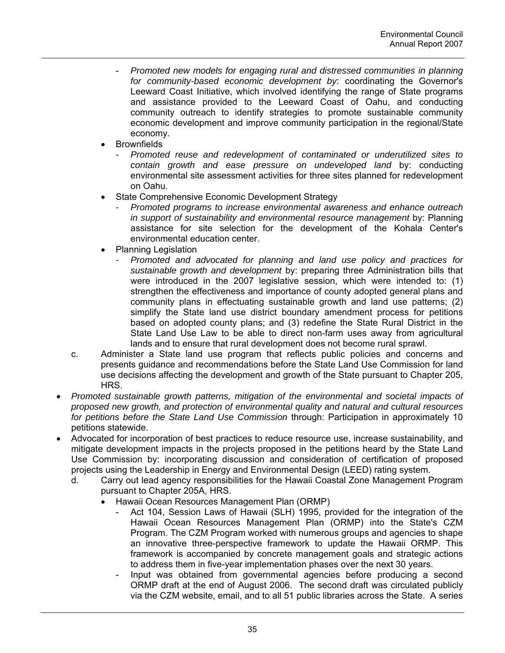- *Promoted new models for engaging rural and distressed communities in planning for community-based economic development by*: coordinating the Governor's Leeward Coast Initiative, which involved identifying the range of State programs and assistance provided to the Leeward Coast of Oahu, and conducting community outreach to identify strategies to promote sustainable community economic development and improve community participation in the regional/State economy.
- **Brownfields** 
	- *Promoted reuse and redevelopment of contaminated or underutilized sites to contain growth and ease pressure on undeveloped land* by: conducting environmental site assessment activities for three sites planned for redevelopment on Oahu.
- State Comprehensive Economic Development Strategy
	- *Promoted programs to increase environmental awareness and enhance outreach in support of sustainability and environmental resource management* by: Planning assistance for site selection for the development of the Kohala Center's environmental education center.
- Planning Legislation
	- *Promoted and advocated for planning and land use policy and practices for sustainable growth and development* by: preparing three Administration bills that were introduced in the 2007 legislative session, which were intended to: (1) strengthen the effectiveness and importance of county adopted general plans and community plans in effectuating sustainable growth and land use patterns; (2) simplify the State land use district boundary amendment process for petitions based on adopted county plans; and (3) redefine the State Rural District in the State Land Use Law to be able to direct non-farm uses away from agricultural lands and to ensure that rural development does not become rural sprawl.
- c. Administer a State land use program that reflects public policies and concerns and presents guidance and recommendations before the State Land Use Commission for land use decisions affecting the development and growth of the State pursuant to Chapter 205, HRS.
- *Promoted sustainable growth patterns, mitigation of the environmental and societal impacts of proposed new growth, and protection of environmental quality and natural and cultural resources for petitions before the State Land Use Commission* through: Participation in approximately 10 petitions statewide.
- Advocated for incorporation of best practices to reduce resource use, increase sustainability, and mitigate development impacts in the projects proposed in the petitions heard by the State Land Use Commission by: incorporating discussion and consideration of certification of proposed projects using the Leadership in Energy and Environmental Design (LEED) rating system.
	- d. Carry out lead agency responsibilities for the Hawaii Coastal Zone Management Program pursuant to Chapter 205A, HRS.
		- Hawaii Ocean Resources Management Plan (ORMP)
			- Act 104, Session Laws of Hawaii (SLH) 1995, provided for the integration of the Hawaii Ocean Resources Management Plan (ORMP) into the State's CZM Program. The CZM Program worked with numerous groups and agencies to shape an innovative three-perspective framework to update the Hawaii ORMP. This framework is accompanied by concrete management goals and strategic actions to address them in five-year implementation phases over the next 30 years.
			- Input was obtained from governmental agencies before producing a second ORMP draft at the end of August 2006. The second draft was circulated publicly via the CZM website, email, and to all 51 public libraries across the State. A series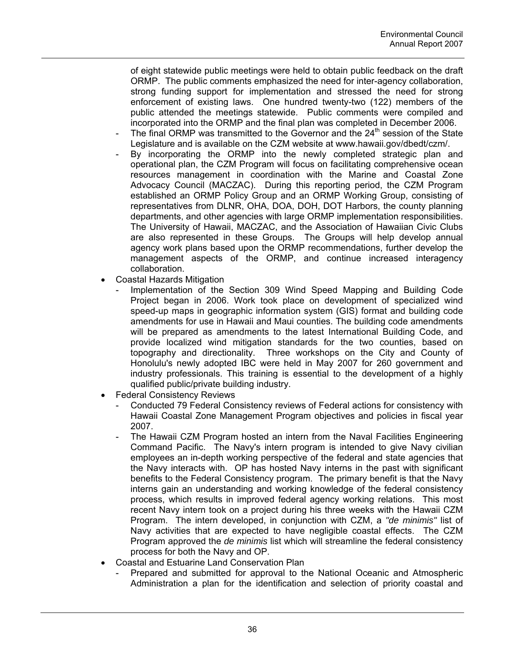of eight statewide public meetings were held to obtain public feedback on the draft ORMP. The public comments emphasized the need for inter-agency collaboration, strong funding support for implementation and stressed the need for strong enforcement of existing laws. One hundred twenty-two (122) members of the public attended the meetings statewide. Public comments were compiled and incorporated into the ORMP and the final plan was completed in December 2006.

- The final ORMP was transmitted to the Governor and the  $24<sup>th</sup>$  session of the State Legislature and is available on the CZM website at www.hawaii.gov/dbedt/czm/.
- By incorporating the ORMP into the newly completed strategic plan and operational plan, the CZM Program will focus on facilitating comprehensive ocean resources management in coordination with the Marine and Coastal Zone Advocacy Council (MACZAC). During this reporting period, the CZM Program established an ORMP Policy Group and an ORMP Working Group, consisting of representatives from DLNR, OHA, DOA, DOH, DOT Harbors, the county planning departments, and other agencies with large ORMP implementation responsibilities. The University of Hawaii, MACZAC, and the Association of Hawaiian Civic Clubs are also represented in these Groups. The Groups will help develop annual agency work plans based upon the ORMP recommendations, further develop the management aspects of the ORMP, and continue increased interagency collaboration.
- Coastal Hazards Mitigation
	- Implementation of the Section 309 Wind Speed Mapping and Building Code Project began in 2006. Work took place on development of specialized wind speed-up maps in geographic information system (GIS) format and building code amendments for use in Hawaii and Maui counties. The building code amendments will be prepared as amendments to the latest International Building Code, and provide localized wind mitigation standards for the two counties, based on topography and directionality. Three workshops on the City and County of Honolulu's newly adopted IBC were held in May 2007 for 260 government and industry professionals. This training is essential to the development of a highly qualified public/private building industry.
- **Federal Consistency Reviews** 
	- Conducted 79 Federal Consistency reviews of Federal actions for consistency with Hawaii Coastal Zone Management Program objectives and policies in fiscal year 2007.
	- The Hawaii CZM Program hosted an intern from the Naval Facilities Engineering Command Pacific. The Navy's intern program is intended to give Navy civilian employees an in-depth working perspective of the federal and state agencies that the Navy interacts with. OP has hosted Navy interns in the past with significant benefits to the Federal Consistency program. The primary benefit is that the Navy interns gain an understanding and working knowledge of the federal consistency process, which results in improved federal agency working relations. This most recent Navy intern took on a project during his three weeks with the Hawaii CZM Program. The intern developed, in conjunction with CZM, a *"de minimis"* list of Navy activities that are expected to have negligible coastal effects. The CZM Program approved the *de minimis* list which will streamline the federal consistency process for both the Navy and OP.
- Coastal and Estuarine Land Conservation Plan
	- Prepared and submitted for approval to the National Oceanic and Atmospheric Administration a plan for the identification and selection of priority coastal and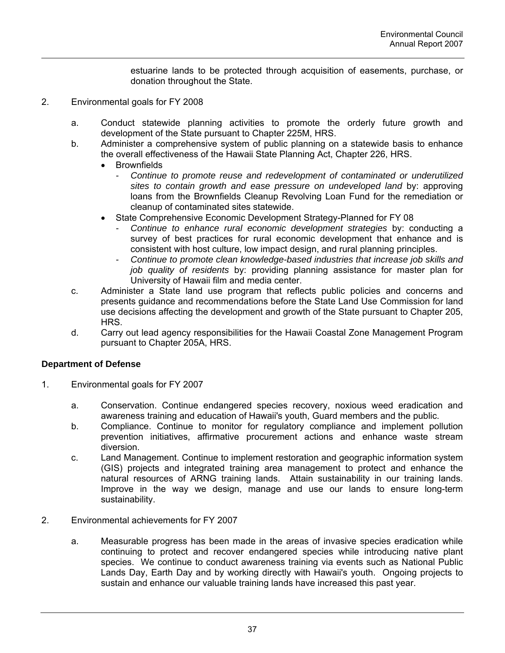estuarine lands to be protected through acquisition of easements, purchase, or donation throughout the State.

- 2. Environmental goals for FY 2008
	- a. Conduct statewide planning activities to promote the orderly future growth and development of the State pursuant to Chapter 225M, HRS.
	- b. Administer a comprehensive system of public planning on a statewide basis to enhance the overall effectiveness of the Hawaii State Planning Act, Chapter 226, HRS.
		- **Brownfields** 
			- *Continue to promote reuse and redevelopment of contaminated or underutilized sites to contain growth and ease pressure on undeveloped land* by: approving loans from the Brownfields Cleanup Revolving Loan Fund for the remediation or cleanup of contaminated sites statewide.
		- State Comprehensive Economic Development Strategy-Planned for FY 08
			- *Continue to enhance rural economic development strategies* by: conducting a survey of best practices for rural economic development that enhance and is consistent with host culture, low impact design, and rural planning principles.
			- *Continue to promote clean knowledge-based industries that increase job skills and job quality of residents* by: providing planning assistance for master plan for University of Hawaii film and media center.
	- c. Administer a State land use program that reflects public policies and concerns and presents guidance and recommendations before the State Land Use Commission for land use decisions affecting the development and growth of the State pursuant to Chapter 205, HRS.
	- d. Carry out lead agency responsibilities for the Hawaii Coastal Zone Management Program pursuant to Chapter 205A, HRS.

### **Department of Defense**

- 1. Environmental goals for FY 2007
	- a. Conservation. Continue endangered species recovery, noxious weed eradication and awareness training and education of Hawaii's youth, Guard members and the public.
	- b. Compliance. Continue to monitor for regulatory compliance and implement pollution prevention initiatives, affirmative procurement actions and enhance waste stream diversion.
	- c. Land Management. Continue to implement restoration and geographic information system (GIS) projects and integrated training area management to protect and enhance the natural resources of ARNG training lands. Attain sustainability in our training lands. Improve in the way we design, manage and use our lands to ensure long-term sustainability.
- 2. Environmental achievements for FY 2007
	- a. Measurable progress has been made in the areas of invasive species eradication while continuing to protect and recover endangered species while introducing native plant species. We continue to conduct awareness training via events such as National Public Lands Day, Earth Day and by working directly with Hawaii's youth. Ongoing projects to sustain and enhance our valuable training lands have increased this past year.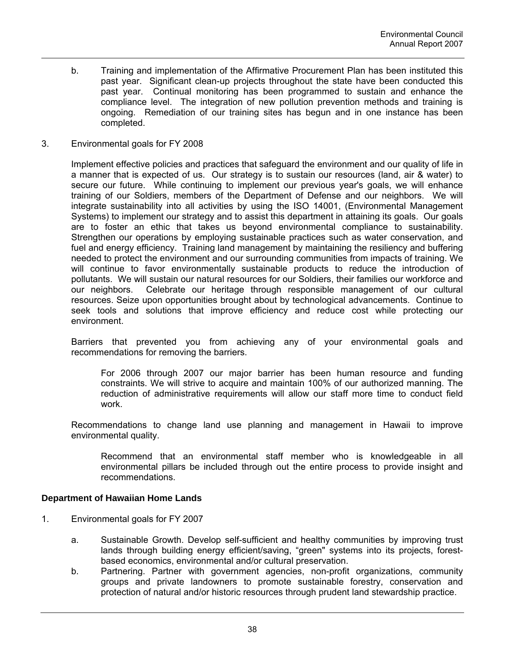- b. Training and implementation of the Affirmative Procurement Plan has been instituted this past year. Significant clean-up projects throughout the state have been conducted this past year. Continual monitoring has been programmed to sustain and enhance the compliance level. The integration of new pollution prevention methods and training is ongoing. Remediation of our training sites has begun and in one instance has been completed.
- 3. Environmental goals for FY 2008

Implement effective policies and practices that safeguard the environment and our quality of life in a manner that is expected of us. Our strategy is to sustain our resources (land, air & water) to secure our future. While continuing to implement our previous year's goals, we will enhance training of our Soldiers, members of the Department of Defense and our neighbors. We will integrate sustainability into all activities by using the ISO 14001, (Environmental Management Systems) to implement our strategy and to assist this department in attaining its goals. Our goals are to foster an ethic that takes us beyond environmental compliance to sustainability. Strengthen our operations by employing sustainable practices such as water conservation, and fuel and energy efficiency. Training land management by maintaining the resiliency and buffering needed to protect the environment and our surrounding communities from impacts of training. We will continue to favor environmentally sustainable products to reduce the introduction of pollutants. We will sustain our natural resources for our Soldiers, their families our workforce and our neighbors. Celebrate our heritage through responsible management of our cultural resources. Seize upon opportunities brought about by technological advancements. Continue to seek tools and solutions that improve efficiency and reduce cost while protecting our environment.

Barriers that prevented you from achieving any of your environmental goals and recommendations for removing the barriers.

For 2006 through 2007 our major barrier has been human resource and funding constraints. We will strive to acquire and maintain 100% of our authorized manning. The reduction of administrative requirements will allow our staff more time to conduct field work.

Recommendations to change land use planning and management in Hawaii to improve environmental quality.

Recommend that an environmental staff member who is knowledgeable in all environmental pillars be included through out the entire process to provide insight and recommendations.

# **Department of Hawaiian Home Lands**

- 1. Environmental goals for FY 2007
	- a. Sustainable Growth. Develop self-sufficient and healthy communities by improving trust lands through building energy efficient/saving, "green" systems into its projects, forestbased economics, environmental and/or cultural preservation.
	- b. Partnering. Partner with government agencies, non-profit organizations, community groups and private landowners to promote sustainable forestry, conservation and protection of natural and/or historic resources through prudent land stewardship practice.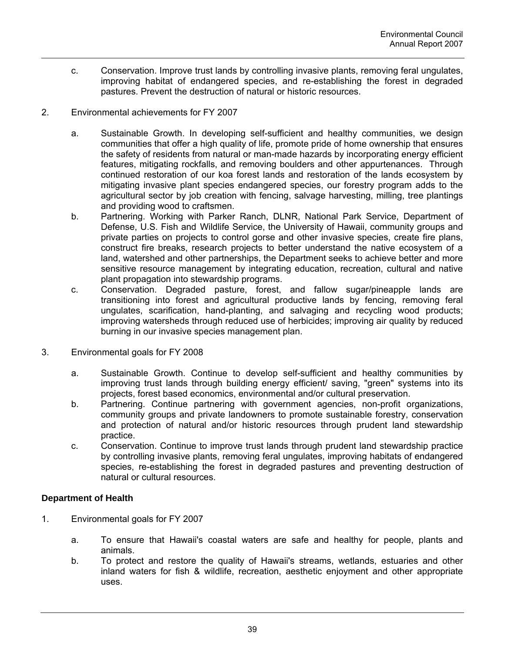c. Conservation. Improve trust lands by controlling invasive plants, removing feral ungulates, improving habitat of endangered species, and re-establishing the forest in degraded pastures. Prevent the destruction of natural or historic resources.

# 2. Environmental achievements for FY 2007

- a. Sustainable Growth. In developing self-sufficient and healthy communities, we design communities that offer a high quality of life, promote pride of home ownership that ensures the safety of residents from natural or man-made hazards by incorporating energy efficient features, mitigating rockfalls, and removing boulders and other appurtenances. Through continued restoration of our koa forest lands and restoration of the lands ecosystem by mitigating invasive plant species endangered species, our forestry program adds to the agricultural sector by job creation with fencing, salvage harvesting, milling, tree plantings and providing wood to craftsmen.
- b. Partnering. Working with Parker Ranch, DLNR, National Park Service, Department of Defense, U.S. Fish and Wildlife Service, the University of Hawaii, community groups and private parties on projects to control gorse and other invasive species, create fire plans, construct fire breaks, research projects to better understand the native ecosystem of a land, watershed and other partnerships, the Department seeks to achieve better and more sensitive resource management by integrating education, recreation, cultural and native plant propagation into stewardship programs.
- c. Conservation. Degraded pasture, forest, and fallow sugar/pineapple lands are transitioning into forest and agricultural productive lands by fencing, removing feral ungulates, scarification, hand-planting, and salvaging and recycling wood products; improving watersheds through reduced use of herbicides; improving air quality by reduced burning in our invasive species management plan.
- 3. Environmental goals for FY 2008
	- a. Sustainable Growth. Continue to develop self-sufficient and healthy communities by improving trust lands through building energy efficient/ saving, "green" systems into its projects, forest based economics, environmental and/or cultural preservation.
	- b. Partnering. Continue partnering with government agencies, non-profit organizations, community groups and private landowners to promote sustainable forestry, conservation and protection of natural and/or historic resources through prudent land stewardship practice.
	- c. Conservation. Continue to improve trust lands through prudent land stewardship practice by controlling invasive plants, removing feral ungulates, improving habitats of endangered species, re-establishing the forest in degraded pastures and preventing destruction of natural or cultural resources.

# **Department of Health**

- 1. Environmental goals for FY 2007
	- a. To ensure that Hawaii's coastal waters are safe and healthy for people, plants and animals.
	- b. To protect and restore the quality of Hawaii's streams, wetlands, estuaries and other inland waters for fish & wildlife, recreation, aesthetic enjoyment and other appropriate uses.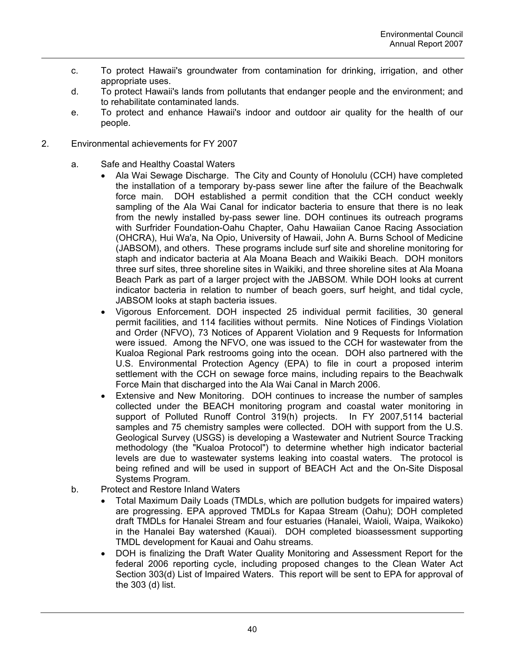- c. To protect Hawaii's groundwater from contamination for drinking, irrigation, and other appropriate uses.
- d. To protect Hawaii's lands from pollutants that endanger people and the environment; and to rehabilitate contaminated lands.
- e. To protect and enhance Hawaii's indoor and outdoor air quality for the health of our people.
- 2. Environmental achievements for FY 2007
	- a. Safe and Healthy Coastal Waters
		- Ala Wai Sewage Discharge. The City and County of Honolulu (CCH) have completed the installation of a temporary by-pass sewer line after the failure of the Beachwalk force main. DOH established a permit condition that the CCH conduct weekly sampling of the Ala Wai Canal for indicator bacteria to ensure that there is no leak from the newly installed by-pass sewer line. DOH continues its outreach programs with Surfrider Foundation-Oahu Chapter, Oahu Hawaiian Canoe Racing Association (OHCRA), Hui Wa'a, Na Opio, University of Hawaii, John A. Burns School of Medicine (JABSOM), and others. These programs include surf site and shoreline monitoring for staph and indicator bacteria at Ala Moana Beach and Waikiki Beach. DOH monitors three surf sites, three shoreline sites in Waikiki, and three shoreline sites at Ala Moana Beach Park as part of a larger project with the JABSOM. While DOH looks at current indicator bacteria in relation to number of beach goers, surf height, and tidal cycle, JABSOM looks at staph bacteria issues.
		- Vigorous Enforcement. DOH inspected 25 individual permit facilities, 30 general permit facilities, and 114 facilities without permits. Nine Notices of Findings Violation and Order (NFVO), 73 Notices of Apparent Violation and 9 Requests for Information were issued. Among the NFVO, one was issued to the CCH for wastewater from the Kualoa Regional Park restrooms going into the ocean. DOH also partnered with the U.S. Environmental Protection Agency (EPA) to file in court a proposed interim settlement with the CCH on sewage force mains, including repairs to the Beachwalk Force Main that discharged into the Ala Wai Canal in March 2006.
		- Extensive and New Monitoring. DOH continues to increase the number of samples collected under the BEACH monitoring program and coastal water monitoring in support of Polluted Runoff Control 319(h) projects. In FY 2007,5114 bacterial samples and 75 chemistry samples were collected. DOH with support from the U.S. Geological Survey (USGS) is developing a Wastewater and Nutrient Source Tracking methodology (the "Kualoa Protocol") to determine whether high indicator bacterial levels are due to wastewater systems leaking into coastal waters. The protocol is being refined and will be used in support of BEACH Act and the On-Site Disposal Systems Program.
	- b. Protect and Restore Inland Waters
		- Total Maximum Daily Loads (TMDLs, which are pollution budgets for impaired waters) are progressing. EPA approved TMDLs for Kapaa Stream (Oahu); DOH completed draft TMDLs for Hanalei Stream and four estuaries (Hanalei, Waioli, Waipa, Waikoko) in the Hanalei Bay watershed (Kauai). DOH completed bioassessment supporting TMDL development for Kauai and Oahu streams.
		- DOH is finalizing the Draft Water Quality Monitoring and Assessment Report for the federal 2006 reporting cycle, including proposed changes to the Clean Water Act Section 303(d) List of Impaired Waters. This report will be sent to EPA for approval of the 303 (d) list.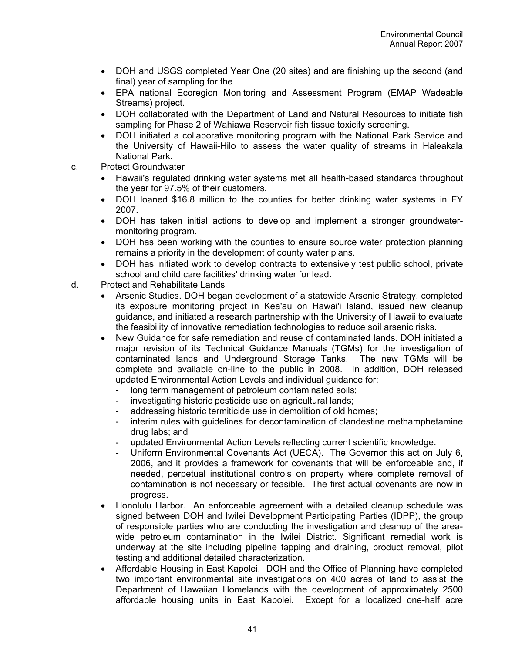- DOH and USGS completed Year One (20 sites) and are finishing up the second (and final) year of sampling for the
- EPA national Ecoregion Monitoring and Assessment Program (EMAP Wadeable Streams) project.
- DOH collaborated with the Department of Land and Natural Resources to initiate fish sampling for Phase 2 of Wahiawa Reservoir fish tissue toxicity screening.
- DOH initiated a collaborative monitoring program with the National Park Service and the University of Hawaii-Hilo to assess the water quality of streams in Haleakala National Park.
- c. Protect Groundwater
	- Hawaii's regulated drinking water systems met all health-based standards throughout the year for 97.5% of their customers.
	- DOH loaned \$16.8 million to the counties for better drinking water systems in FY 2007.
	- DOH has taken initial actions to develop and implement a stronger groundwatermonitoring program.
	- DOH has been working with the counties to ensure source water protection planning remains a priority in the development of county water plans.
	- DOH has initiated work to develop contracts to extensively test public school, private school and child care facilities' drinking water for lead.
- d. Protect and Rehabilitate Lands
	- Arsenic Studies. DOH began development of a statewide Arsenic Strategy, completed its exposure monitoring project in Kea'au on Hawai'i Island, issued new cleanup guidance, and initiated a research partnership with the University of Hawaii to evaluate the feasibility of innovative remediation technologies to reduce soil arsenic risks.
	- New Guidance for safe remediation and reuse of contaminated lands. DOH initiated a major revision of its Technical Guidance Manuals (TGMs) for the investigation of contaminated lands and Underground Storage Tanks. The new TGMs will be complete and available on-line to the public in 2008. In addition, DOH released updated Environmental Action Levels and individual guidance for:
		- long term management of petroleum contaminated soils;
		- investigating historic pesticide use on agricultural lands;
		- addressing historic termiticide use in demolition of old homes;
		- interim rules with guidelines for decontamination of clandestine methamphetamine drug labs; and
		- updated Environmental Action Levels reflecting current scientific knowledge.
		- Uniform Environmental Covenants Act (UECA). The Governor this act on July 6, 2006, and it provides a framework for covenants that will be enforceable and, if needed, perpetual institutional controls on property where complete removal of contamination is not necessary or feasible. The first actual covenants are now in progress.
	- Honolulu Harbor. An enforceable agreement with a detailed cleanup schedule was signed between DOH and Iwilei Development Participating Parties (IDPP), the group of responsible parties who are conducting the investigation and cleanup of the areawide petroleum contamination in the Iwilei District. Significant remedial work is underway at the site including pipeline tapping and draining, product removal, pilot testing and additional detailed characterization.
	- Affordable Housing in East Kapolei. DOH and the Office of Planning have completed two important environmental site investigations on 400 acres of land to assist the Department of Hawaiian Homelands with the development of approximately 2500 affordable housing units in East Kapolei. Except for a localized one-half acre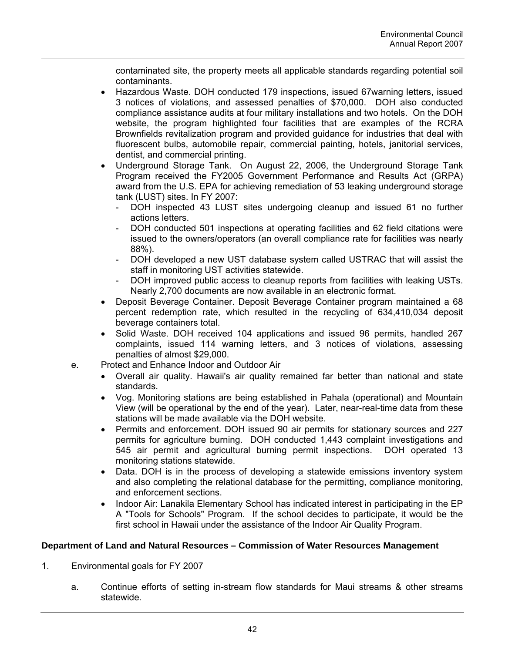contaminated site, the property meets all applicable standards regarding potential soil contaminants.

- Hazardous Waste. DOH conducted 179 inspections, issued 67warning letters, issued 3 notices of violations, and assessed penalties of \$70,000. DOH also conducted compliance assistance audits at four military installations and two hotels. On the DOH website, the program highlighted four facilities that are examples of the RCRA Brownfields revitalization program and provided guidance for industries that deal with fluorescent bulbs, automobile repair, commercial painting, hotels, janitorial services, dentist, and commercial printing.
- Underground Storage Tank. On August 22, 2006, the Underground Storage Tank Program received the FY2005 Government Performance and Results Act (GRPA) award from the U.S. EPA for achieving remediation of 53 leaking underground storage tank (LUST) sites. In FY 2007:
	- DOH inspected 43 LUST sites undergoing cleanup and issued 61 no further actions letters.
	- DOH conducted 501 inspections at operating facilities and 62 field citations were issued to the owners/operators (an overall compliance rate for facilities was nearly 88%).
	- DOH developed a new UST database system called USTRAC that will assist the staff in monitoring UST activities statewide.
	- DOH improved public access to cleanup reports from facilities with leaking USTs. Nearly 2,700 documents are now available in an electronic format.
- Deposit Beverage Container. Deposit Beverage Container program maintained a 68 percent redemption rate, which resulted in the recycling of 634,410,034 deposit beverage containers total.
- Solid Waste. DOH received 104 applications and issued 96 permits, handled 267 complaints, issued 114 warning letters, and 3 notices of violations, assessing penalties of almost \$29,000.
- e. Protect and Enhance Indoor and Outdoor Air
	- Overall air quality. Hawaii's air quality remained far better than national and state standards.
	- Vog. Monitoring stations are being established in Pahala (operational) and Mountain View (will be operational by the end of the year). Later, near-real-time data from these stations will be made available via the DOH website.
	- Permits and enforcement. DOH issued 90 air permits for stationary sources and 227 permits for agriculture burning. DOH conducted 1,443 complaint investigations and 545 air permit and agricultural burning permit inspections. DOH operated 13 monitoring stations statewide.
	- Data. DOH is in the process of developing a statewide emissions inventory system and also completing the relational database for the permitting, compliance monitoring, and enforcement sections.
	- Indoor Air: Lanakila Elementary School has indicated interest in participating in the EP A "Tools for Schools" Program. If the school decides to participate, it would be the first school in Hawaii under the assistance of the Indoor Air Quality Program.

# **Department of Land and Natural Resources – Commission of Water Resources Management**

- 1. Environmental goals for FY 2007
	- a. Continue efforts of setting in-stream flow standards for Maui streams & other streams statewide.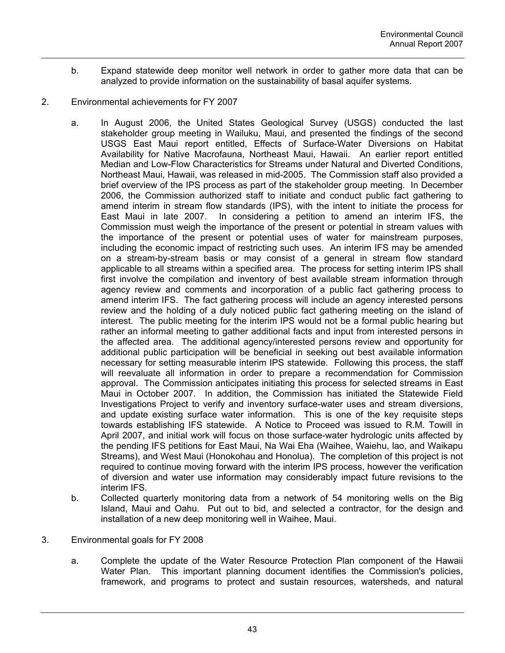- b. Expand statewide deep monitor well network in order to gather more data that can be analyzed to provide information on the sustainability of basal aquifer systems.
- 2. Environmental achievements for FY 2007
	- a. In August 2006, the United States Geological Survey (USGS) conducted the last stakeholder group meeting in Wailuku, Maui, and presented the findings of the second USGS East Maui report entitled, Effects of Surface-Water Diversions on Habitat Availability for Native Macrofauna, Northeast Maui, Hawaii. An earlier report entitled Median and Low-Flow Characteristics for Streams under Natural and Diverted Conditions, Northeast Maui, Hawaii, was released in mid-2005. The Commission staff also provided a brief overview of the IPS process as part of the stakeholder group meeting. In December 2006, the Commission authorized staff to initiate and conduct public fact gathering to amend interim in stream flow standards (IPS), with the intent to initiate the process for East Maui in late 2007. In considering a petition to amend an interim IFS, the Commission must weigh the importance of the present or potential in stream values with the importance of the present or potential uses of water for mainstream purposes, including the economic impact of restricting such uses. An interim IFS may be amended on a stream-by-stream basis or may consist of a general in stream flow standard applicable to all streams within a specified area. The process for setting interim IPS shall first involve the compilation and inventory of best available stream information through agency review and comments and incorporation of a public fact gathering process to amend interim IFS. The fact gathering process will include an agency interested persons review and the holding of a duly noticed public fact gathering meeting on the island of interest. The public meeting for the interim IPS would not be a formal public hearing but rather an informal meeting to gather additional facts and input from interested persons in the affected area. The additional agency/interested persons review and opportunity for additional public participation will be beneficial in seeking out best available information necessary for setting measurable interim IPS statewide. Following this process, the staff will reevaluate all information in order to prepare a recommendation for Commission approval. The Commission anticipates initiating this process for selected streams in East Maui in October 2007. In addition, the Commission has initiated the Statewide Field Investigations Project to verify and inventory surface-water uses and stream diversions, and update existing surface water information. This is one of the key requisite steps towards establishing IFS statewide. A Notice to Proceed was issued to R.M. Towill in April 2007, and initial work will focus on those surface-water hydrologic units affected by the pending IFS petitions for East Maui, Na Wai Eha (Waihee, Waiehu, lao, and Waikapu Streams), and West Maui (Honokohau and Honolua). The completion of this project is not required to continue moving forward with the interim IPS process, however the verification of diversion and water use information may considerably impact future revisions to the interim IFS.
	- b. Collected quarterly monitoring data from a network of 54 monitoring wells on the Big Island, Maui and Oahu. Put out to bid, and selected a contractor, for the design and installation of a new deep monitoring well in Waihee, Maui.
- 3. Environmental goals for FY 2008
	- a. Complete the update of the Water Resource Protection Plan component of the Hawaii Water Plan. This important planning document identifies the Commission's policies, framework, and programs to protect and sustain resources, watersheds, and natural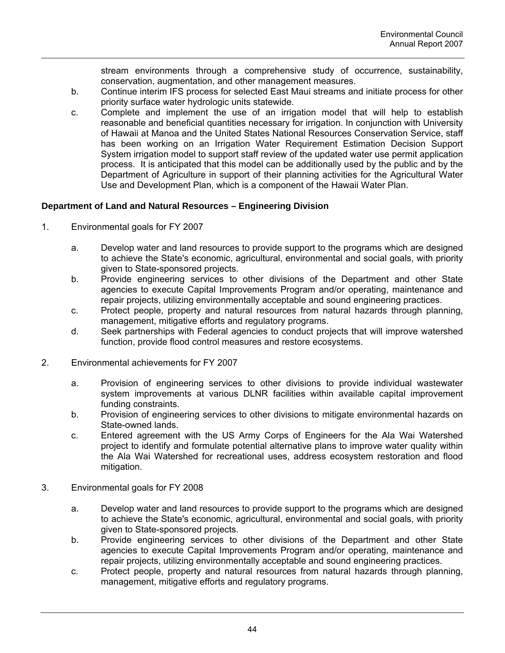stream environments through a comprehensive study of occurrence, sustainability, conservation, augmentation, and other management measures.

- b. Continue interim IFS process for selected East Maui streams and initiate process for other priority surface water hydrologic units statewide.
- c. Complete and implement the use of an irrigation model that will help to establish reasonable and beneficial quantities necessary for irrigation. In conjunction with University of Hawaii at Manoa and the United States National Resources Conservation Service, staff has been working on an Irrigation Water Requirement Estimation Decision Support System irrigation model to support staff review of the updated water use permit application process. It is anticipated that this model can be additionally used by the public and by the Department of Agriculture in support of their planning activities for the Agricultural Water Use and Development Plan, which is a component of the Hawaii Water Plan.

# **Department of Land and Natural Resources – Engineering Division**

- 1. Environmental goals for FY 2007
	- a. Develop water and land resources to provide support to the programs which are designed to achieve the State's economic, agricultural, environmental and social goals, with priority given to State-sponsored projects.
	- b. Provide engineering services to other divisions of the Department and other State agencies to execute Capital Improvements Program and/or operating, maintenance and repair projects, utilizing environmentally acceptable and sound engineering practices.
	- c. Protect people, property and natural resources from natural hazards through planning, management, mitigative efforts and regulatory programs.
	- d. Seek partnerships with Federal agencies to conduct projects that will improve watershed function, provide flood control measures and restore ecosystems.
- 2. Environmental achievements for FY 2007
	- a. Provision of engineering services to other divisions to provide individual wastewater system improvements at various DLNR facilities within available capital improvement funding constraints.
	- b. Provision of engineering services to other divisions to mitigate environmental hazards on State-owned lands.
	- c. Entered agreement with the US Army Corps of Engineers for the Ala Wai Watershed project to identify and formulate potential alternative plans to improve water quality within the Ala Wai Watershed for recreational uses, address ecosystem restoration and flood mitigation.
- 3. Environmental goals for FY 2008
	- a. Develop water and land resources to provide support to the programs which are designed to achieve the State's economic, agricultural, environmental and social goals, with priority given to State-sponsored projects.
	- b. Provide engineering services to other divisions of the Department and other State agencies to execute Capital Improvements Program and/or operating, maintenance and repair projects, utilizing environmentally acceptable and sound engineering practices.
	- c. Protect people, property and natural resources from natural hazards through planning, management, mitigative efforts and regulatory programs.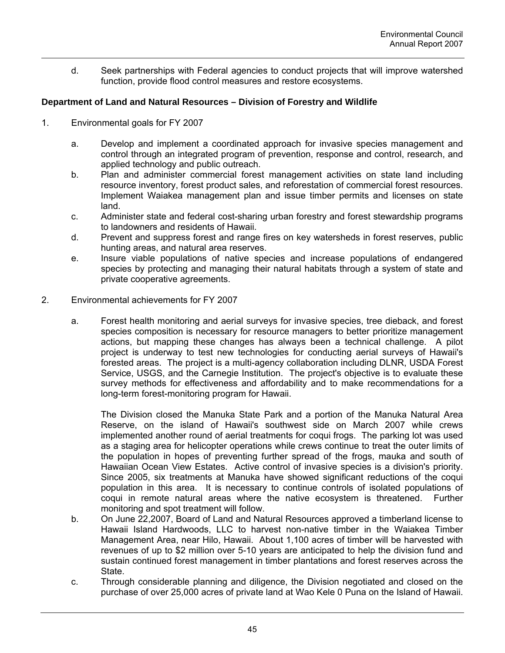d. Seek partnerships with Federal agencies to conduct projects that will improve watershed function, provide flood control measures and restore ecosystems.

# **Department of Land and Natural Resources – Division of Forestry and Wildlife**

- 1. Environmental goals for FY 2007
	- a. Develop and implement a coordinated approach for invasive species management and control through an integrated program of prevention, response and control, research, and applied technology and public outreach.
	- b. Plan and administer commercial forest management activities on state land including resource inventory, forest product sales, and reforestation of commercial forest resources. Implement Waiakea management plan and issue timber permits and licenses on state land.
	- c. Administer state and federal cost-sharing urban forestry and forest stewardship programs to landowners and residents of Hawaii.
	- d. Prevent and suppress forest and range fires on key watersheds in forest reserves, public hunting areas, and natural area reserves.
	- e. Insure viable populations of native species and increase populations of endangered species by protecting and managing their natural habitats through a system of state and private cooperative agreements.
- 2. Environmental achievements for FY 2007
	- a. Forest health monitoring and aerial surveys for invasive species, tree dieback, and forest species composition is necessary for resource managers to better prioritize management actions, but mapping these changes has always been a technical challenge. A pilot project is underway to test new technologies for conducting aerial surveys of Hawaii's forested areas. The project is a multi-agency collaboration including DLNR, USDA Forest Service, USGS, and the Carnegie Institution. The project's objective is to evaluate these survey methods for effectiveness and affordability and to make recommendations for a long-term forest-monitoring program for Hawaii.

The Division closed the Manuka State Park and a portion of the Manuka Natural Area Reserve, on the island of Hawaii's southwest side on March 2007 while crews implemented another round of aerial treatments for coqui frogs. The parking lot was used as a staging area for helicopter operations while crews continue to treat the outer limits of the population in hopes of preventing further spread of the frogs, mauka and south of Hawaiian Ocean View Estates. Active control of invasive species is a division's priority. Since 2005, six treatments at Manuka have showed significant reductions of the coqui population in this area. It is necessary to continue controls of isolated populations of coqui in remote natural areas where the native ecosystem is threatened. Further monitoring and spot treatment will follow.

- b. On June 22,2007, Board of Land and Natural Resources approved a timberland license to Hawaii Island Hardwoods, LLC to harvest non-native timber in the Waiakea Timber Management Area, near Hilo, Hawaii. About 1,100 acres of timber will be harvested with revenues of up to \$2 million over 5-10 years are anticipated to help the division fund and sustain continued forest management in timber plantations and forest reserves across the State.
- c. Through considerable planning and diligence, the Division negotiated and closed on the purchase of over 25,000 acres of private land at Wao Kele 0 Puna on the Island of Hawaii.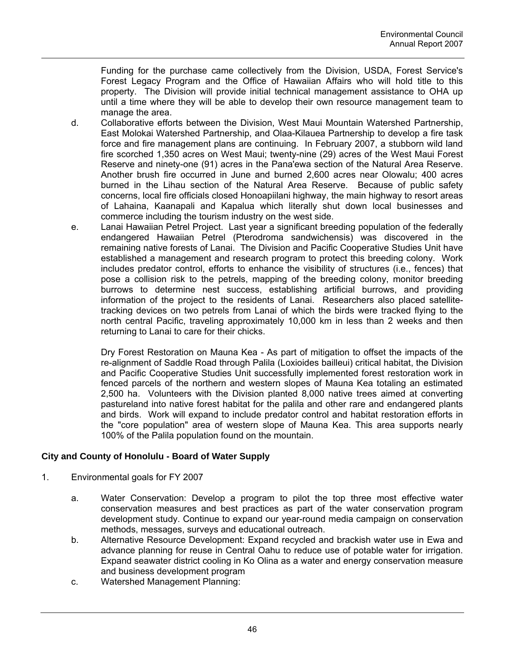Funding for the purchase came collectively from the Division, USDA, Forest Service's Forest Legacy Program and the Office of Hawaiian Affairs who will hold title to this property. The Division will provide initial technical management assistance to OHA up until a time where they will be able to develop their own resource management team to manage the area.

- d. Collaborative efforts between the Division, West Maui Mountain Watershed Partnership, East Molokai Watershed Partnership, and Olaa-Kilauea Partnership to develop a fire task force and fire management plans are continuing. In February 2007, a stubborn wild land fire scorched 1,350 acres on West Maui; twenty-nine (29) acres of the West Maui Forest Reserve and ninety-one (91) acres in the Pana'ewa section of the Natural Area Reserve. Another brush fire occurred in June and burned 2,600 acres near Olowalu; 400 acres burned in the Lihau section of the Natural Area Reserve. Because of public safety concerns, local fire officials closed Honoapiilani highway, the main highway to resort areas of Lahaina, Kaanapali and Kapalua which literally shut down local businesses and commerce including the tourism industry on the west side.
- e. Lanai Hawaiian Petrel Project. Last year a significant breeding population of the federally endangered Hawaiian Petrel (Pterodroma sandwichensis) was discovered in the remaining native forests of Lanai. The Division and Pacific Cooperative Studies Unit have established a management and research program to protect this breeding colony. Work includes predator control, efforts to enhance the visibility of structures (i.e., fences) that pose a collision risk to the petrels, mapping of the breeding colony, monitor breeding burrows to determine nest success, establishing artificial burrows, and providing information of the project to the residents of Lanai. Researchers also placed satellitetracking devices on two petrels from Lanai of which the birds were tracked flying to the north central Pacific, traveling approximately 10,000 km in less than 2 weeks and then returning to Lanai to care for their chicks.

Dry Forest Restoration on Mauna Kea - As part of mitigation to offset the impacts of the re-alignment of Saddle Road through Palila (Loxioides bailleui) critical habitat, the Division and Pacific Cooperative Studies Unit successfully implemented forest restoration work in fenced parcels of the northern and western slopes of Mauna Kea totaling an estimated 2,500 ha. Volunteers with the Division planted 8,000 native trees aimed at converting pastureland into native forest habitat for the palila and other rare and endangered plants and birds. Work will expand to include predator control and habitat restoration efforts in the "core population" area of western slope of Mauna Kea. This area supports nearly 100% of the Palila population found on the mountain.

# **City and County of Honolulu - Board of Water Supply**

- 1. Environmental goals for FY 2007
	- a. Water Conservation: Develop a program to pilot the top three most effective water conservation measures and best practices as part of the water conservation program development study. Continue to expand our year-round media campaign on conservation methods, messages, surveys and educational outreach.
	- b. Alternative Resource Development: Expand recycled and brackish water use in Ewa and advance planning for reuse in Central Oahu to reduce use of potable water for irrigation. Expand seawater district cooling in Ko Olina as a water and energy conservation measure and business development program
	- c. Watershed Management Planning: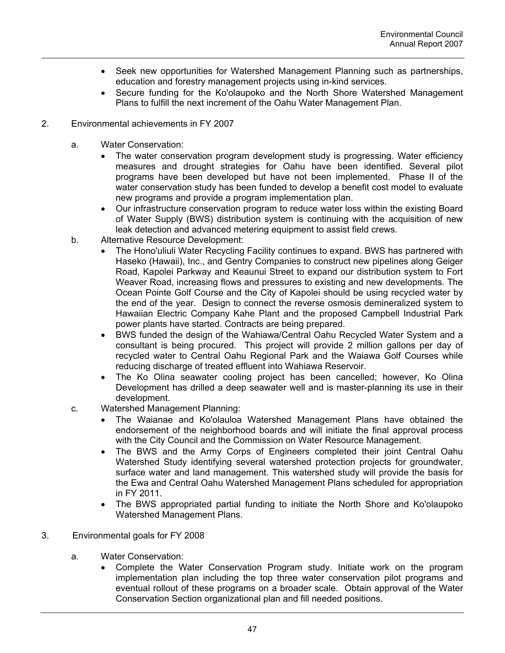- Seek new opportunities for Watershed Management Planning such as partnerships, education and forestry management projects using in-kind services.
- Secure funding for the Ko'olaupoko and the North Shore Watershed Management Plans to fulfill the next increment of the Oahu Water Management Plan.

# 2. Environmental achievements in FY 2007

- a. Water Conservation:
	- The water conservation program development study is progressing. Water efficiency measures and drought strategies for Oahu have been identified. Several pilot programs have been developed but have not been implemented. Phase II of the water conservation study has been funded to develop a benefit cost model to evaluate new programs and provide a program implementation plan.
	- Our infrastructure conservation program to reduce water loss within the existing Board of Water Supply (BWS) distribution system is continuing with the acquisition of new leak detection and advanced metering equipment to assist field crews.
- b. Alternative Resource Development:
	- The Hono'uliuli Water Recycling Facility continues to expand. BWS has partnered with Haseko (Hawaii), Inc., and Gentry Companies to construct new pipelines along Geiger Road, Kapolei Parkway and Keaunui Street to expand our distribution system to Fort Weaver Road, increasing flows and pressures to existing and new developments. The Ocean Pointe Golf Course and the City of Kapolei should be using recycled water by the end of the year. Design to connect the reverse osmosis demineralized system to Hawaiian Electric Company Kahe Plant and the proposed Campbell Industrial Park power plants have started. Contracts are being prepared.
	- BWS funded the design of the Wahiawa/Central Oahu Recycled Water System and a consultant is being procured. This project will provide 2 million gallons per day of recycled water to Central Oahu Regional Park and the Waiawa Golf Courses while reducing discharge of treated effluent into Wahiawa Reservoir.
	- The Ko Olina seawater cooling project has been cancelled; however, Ko Olina Development has drilled a deep seawater well and is master-planning its use in their development.
- c. Watershed Management Planning:
	- The Waianae and Ko'olauloa Watershed Management Plans have obtained the endorsement of the neighborhood boards and will initiate the final approval process with the City Council and the Commission on Water Resource Management.
	- The BWS and the Army Corps of Engineers completed their joint Central Oahu Watershed Study identifying several watershed protection projects for groundwater, surface water and land management. This watershed study will provide the basis for the Ewa and Central Oahu Watershed Management Plans scheduled for appropriation in FY 2011.
	- The BWS appropriated partial funding to initiate the North Shore and Ko'olaupoko Watershed Management Plans.

# 3. Environmental goals for FY 2008

- a. Water Conservation:
	- Complete the Water Conservation Program study. Initiate work on the program implementation plan including the top three water conservation pilot programs and eventual rollout of these programs on a broader scale. Obtain approval of the Water Conservation Section organizational plan and fill needed positions.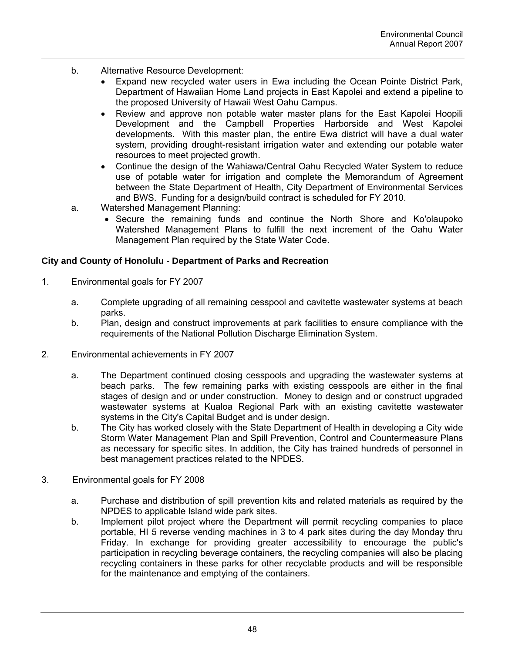- b. Alternative Resource Development:
	- Expand new recycled water users in Ewa including the Ocean Pointe District Park, Department of Hawaiian Home Land projects in East Kapolei and extend a pipeline to the proposed University of Hawaii West Oahu Campus.
	- Review and approve non potable water master plans for the East Kapolei Hoopili Development and the Campbell Properties Harborside and West Kapolei developments. With this master plan, the entire Ewa district will have a dual water system, providing drought-resistant irrigation water and extending our potable water resources to meet projected growth.
	- Continue the design of the Wahiawa/Central Oahu Recycled Water System to reduce use of potable water for irrigation and complete the Memorandum of Agreement between the State Department of Health, City Department of Environmental Services and BWS. Funding for a design/build contract is scheduled for FY 2010.
- a. Watershed Management Planning:
	- Secure the remaining funds and continue the North Shore and Ko'olaupoko Watershed Management Plans to fulfill the next increment of the Oahu Water Management Plan required by the State Water Code.

### **City and County of Honolulu - Department of Parks and Recreation**

- 1. Environmental goals for FY 2007
	- a. Complete upgrading of all remaining cesspool and cavitette wastewater systems at beach parks.
	- b. Plan, design and construct improvements at park facilities to ensure compliance with the requirements of the National Pollution Discharge Elimination System.
- 2. Environmental achievements in FY 2007
	- a. The Department continued closing cesspools and upgrading the wastewater systems at beach parks. The few remaining parks with existing cesspools are either in the final stages of design and or under construction. Money to design and or construct upgraded wastewater systems at Kualoa Regional Park with an existing cavitette wastewater systems in the City's Capital Budget and is under design.
	- b. The City has worked closely with the State Department of Health in developing a City wide Storm Water Management Plan and Spill Prevention, Control and Countermeasure Plans as necessary for specific sites. In addition, the City has trained hundreds of personnel in best management practices related to the NPDES.
- 3. Environmental goals for FY 2008
	- a. Purchase and distribution of spill prevention kits and related materials as required by the NPDES to applicable Island wide park sites.
	- b. Implement pilot project where the Department will permit recycling companies to place portable, HI 5 reverse vending machines in 3 to 4 park sites during the day Monday thru Friday. In exchange for providing greater accessibility to encourage the public's participation in recycling beverage containers, the recycling companies will also be placing recycling containers in these parks for other recyclable products and will be responsible for the maintenance and emptying of the containers.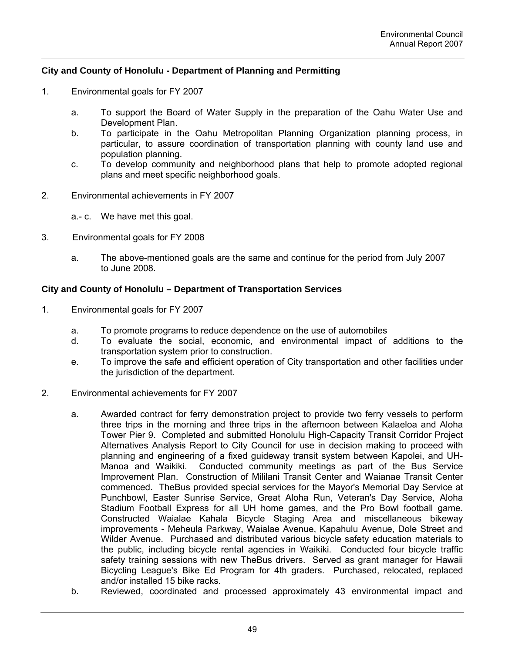# **City and County of Honolulu - Department of Planning and Permitting**

- 1. Environmental goals for FY 2007
	- a. To support the Board of Water Supply in the preparation of the Oahu Water Use and Development Plan.
	- b. To participate in the Oahu Metropolitan Planning Organization planning process, in particular, to assure coordination of transportation planning with county land use and population planning.
	- c. To develop community and neighborhood plans that help to promote adopted regional plans and meet specific neighborhood goals.
- 2. Environmental achievements in FY 2007
	- a.- c. We have met this goal.
- 3. Environmental goals for FY 2008
	- a. The above-mentioned goals are the same and continue for the period from July 2007 to June 2008.

### **City and County of Honolulu – Department of Transportation Services**

- 1. Environmental goals for FY 2007
	- a. To promote programs to reduce dependence on the use of automobiles
	- d. To evaluate the social, economic, and environmental impact of additions to the transportation system prior to construction.
	- e. To improve the safe and efficient operation of City transportation and other facilities under the jurisdiction of the department.
- 2. Environmental achievements for FY 2007
	- a. Awarded contract for ferry demonstration project to provide two ferry vessels to perform three trips in the morning and three trips in the afternoon between Kalaeloa and Aloha Tower Pier 9. Completed and submitted Honolulu High-Capacity Transit Corridor Project Alternatives Analysis Report to City Council for use in decision making to proceed with planning and engineering of a fixed guideway transit system between Kapolei, and UH-Manoa and Waikiki. Conducted community meetings as part of the Bus Service Improvement Plan. Construction of Mililani Transit Center and Waianae Transit Center commenced. TheBus provided special services for the Mayor's Memorial Day Service at Punchbowl, Easter Sunrise Service, Great Aloha Run, Veteran's Day Service, Aloha Stadium Football Express for all UH home games, and the Pro Bowl football game. Constructed Waialae Kahala Bicycle Staging Area and miscellaneous bikeway improvements - Meheula Parkway, Waialae Avenue, Kapahulu Avenue, Dole Street and Wilder Avenue. Purchased and distributed various bicycle safety education materials to the public, including bicycle rental agencies in Waikiki. Conducted four bicycle traffic safety training sessions with new TheBus drivers. Served as grant manager for Hawaii Bicycling League's Bike Ed Program for 4th graders. Purchased, relocated, replaced and/or installed 15 bike racks.
	- b. Reviewed, coordinated and processed approximately 43 environmental impact and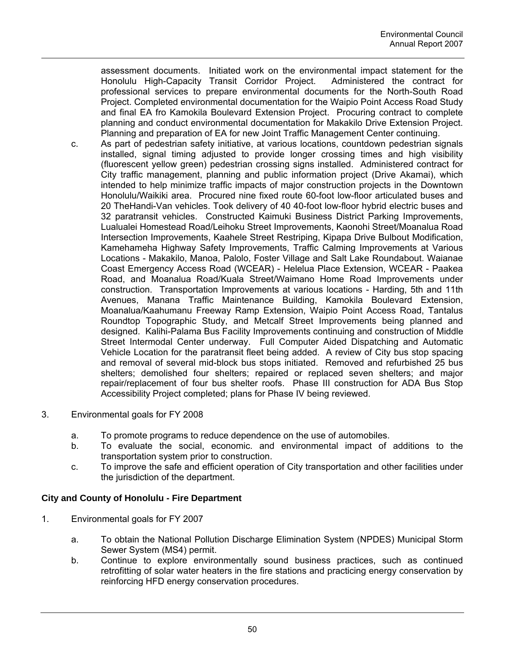assessment documents. Initiated work on the environmental impact statement for the Honolulu High-Capacity Transit Corridor Project. Administered the contract for professional services to prepare environmental documents for the North-South Road Project. Completed environmental documentation for the Waipio Point Access Road Study and final EA fro Kamokila Boulevard Extension Project. Procuring contract to complete planning and conduct environmental documentation for Makakilo Drive Extension Project. Planning and preparation of EA for new Joint Traffic Management Center continuing.

- c. As part of pedestrian safety initiative, at various locations, countdown pedestrian signals installed, signal timing adjusted to provide longer crossing times and high visibility (fluorescent yellow green) pedestrian crossing signs installed. Administered contract for City traffic management, planning and public information project (Drive Akamai), which intended to help minimize traffic impacts of major construction projects in the Downtown Honolulu/Waikiki area. Procured nine fixed route 60-foot low-floor articulated buses and 20 TheHandi-Van vehicles. Took delivery of 40 40-foot low-floor hybrid electric buses and 32 paratransit vehicles. Constructed Kaimuki Business District Parking Improvements, Lualualei Homestead Road/Leihoku Street Improvements, Kaonohi Street/Moanalua Road Intersection Improvements, Kaahele Street Restriping, Kipapa Drive Bulbout Modification, Kamehameha Highway Safety Improvements, Traffic Calming Improvements at Various Locations - Makakilo, Manoa, Palolo, Foster Village and Salt Lake Roundabout. Waianae Coast Emergency Access Road (WCEAR) - Helelua Place Extension, WCEAR - Paakea Road, and Moanalua Road/Kuala Street/Waimano Home Road Improvements under construction. Transportation Improvements at various locations - Harding, 5th and 11th Avenues, Manana Traffic Maintenance Building, Kamokila Boulevard Extension, Moanalua/Kaahumanu Freeway Ramp Extension, Waipio Point Access Road, Tantalus Roundtop Topographic Study, and Metcalf Street Improvements being planned and designed. Kalihi-Palama Bus Facility Improvements continuing and construction of Middle Street Intermodal Center underway. Full Computer Aided Dispatching and Automatic Vehicle Location for the paratransit fleet being added. A review of City bus stop spacing and removal of several mid-block bus stops initiated. Removed and refurbished 25 bus shelters; demolished four shelters; repaired or replaced seven shelters; and major repair/replacement of four bus shelter roofs. Phase III construction for ADA Bus Stop Accessibility Project completed; plans for Phase IV being reviewed.
- 3. Environmental goals for FY 2008
	- a. To promote programs to reduce dependence on the use of automobiles.
	- b. To evaluate the social, economic. and environmental impact of additions to the transportation system prior to construction.
	- c. To improve the safe and efficient operation of City transportation and other facilities under the jurisdiction of the department.

# **City and County of Honolulu - Fire Department**

- 1. Environmental goals for FY 2007
	- a. To obtain the National Pollution Discharge Elimination System (NPDES) Municipal Storm Sewer System (MS4) permit.
	- b. Continue to explore environmentally sound business practices, such as continued retrofitting of solar water heaters in the fire stations and practicing energy conservation by reinforcing HFD energy conservation procedures.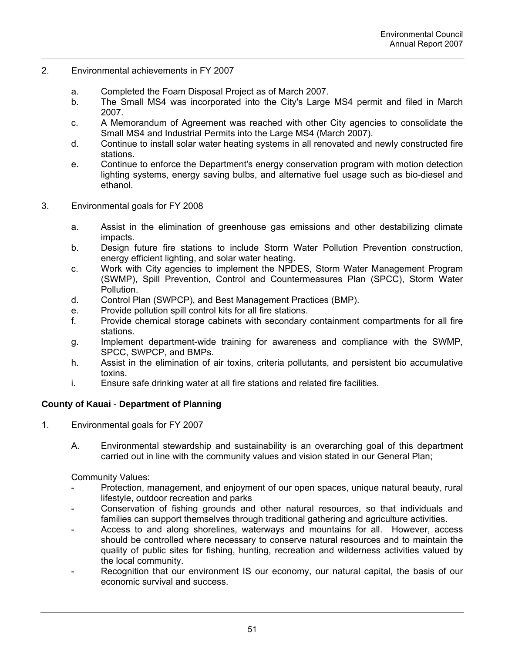- 2. Environmental achievements in FY 2007
	- a. Completed the Foam Disposal Project as of March 2007.
	- b. The Small MS4 was incorporated into the City's Large MS4 permit and filed in March 2007.
	- c. A Memorandum of Agreement was reached with other City agencies to consolidate the Small MS4 and Industrial Permits into the Large MS4 (March 2007).
	- d. Continue to install solar water heating systems in all renovated and newly constructed fire stations.
	- e. Continue to enforce the Department's energy conservation program with motion detection lighting systems, energy saving bulbs, and alternative fuel usage such as bio-diesel and ethanol.
- 3. Environmental goals for FY 2008
	- a. Assist in the elimination of greenhouse gas emissions and other destabilizing climate impacts.
	- b. Design future fire stations to include Storm Water Pollution Prevention construction, energy efficient lighting, and solar water heating.
	- c. Work with City agencies to implement the NPDES, Storm Water Management Program (SWMP), Spill Prevention, Control and Countermeasures Plan (SPCC), Storm Water Pollution.
	- d. Control Plan (SWPCP), and Best Management Practices (BMP).
	- e. Provide pollution spill control kits for all fire stations.
	- f. Provide chemical storage cabinets with secondary containment compartments for all fire stations.
	- g. Implement department-wide training for awareness and compliance with the SWMP, SPCC, SWPCP, and BMPs.
	- h. Assist in the elimination of air toxins, criteria pollutants, and persistent bio accumulative toxins.
	- i. Ensure safe drinking water at all fire stations and related fire facilities.

# **County of Kauai** - **Department of Planning**

- 1. Environmental goals for FY 2007
	- A. Environmental stewardship and sustainability is an overarching goal of this department carried out in line with the community values and vision stated in our General Plan;

Community Values:

- Protection, management, and enjoyment of our open spaces, unique natural beauty, rural lifestyle, outdoor recreation and parks
- Conservation of fishing grounds and other natural resources, so that individuals and families can support themselves through traditional gathering and agriculture activities.
- Access to and along shorelines, waterways and mountains for all. However, access should be controlled where necessary to conserve natural resources and to maintain the quality of public sites for fishing, hunting, recreation and wilderness activities valued by the local community.
- Recognition that our environment IS our economy, our natural capital, the basis of our economic survival and success.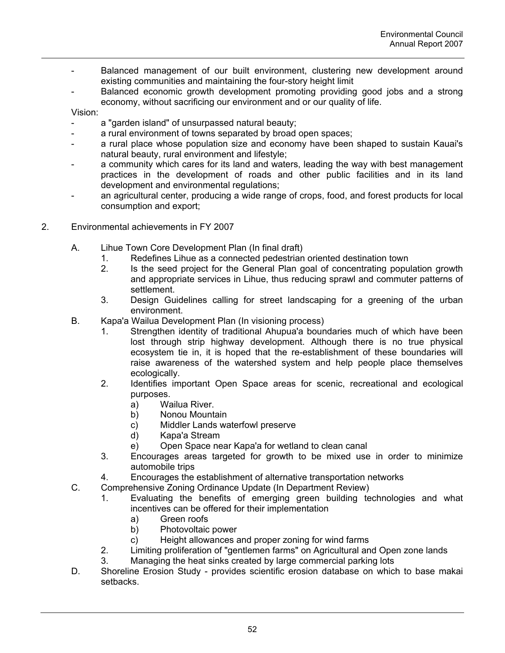- Balanced management of our built environment, clustering new development around existing communities and maintaining the four-story height limit
- Balanced economic growth development promoting providing good jobs and a strong economy, without sacrificing our environment and or our quality of life.

Vision:

- a "garden island" of unsurpassed natural beauty;
- a rural environment of towns separated by broad open spaces;
- a rural place whose population size and economy have been shaped to sustain Kauai's natural beauty, rural environment and lifestyle;
- a community which cares for its land and waters, leading the way with best management practices in the development of roads and other public facilities and in its land development and environmental regulations;
- an agricultural center, producing a wide range of crops, food, and forest products for local consumption and export;
- 2. Environmental achievements in FY 2007
	- A. Lihue Town Core Development Plan (In final draft)
		- 1. Redefines Lihue as a connected pedestrian oriented destination town
		- 2. Is the seed project for the General Plan goal of concentrating population growth and appropriate services in Lihue, thus reducing sprawl and commuter patterns of settlement.
		- 3. Design Guidelines calling for street landscaping for a greening of the urban environment.
	- B. Kapa'a Wailua Development Plan (In visioning process)
		- 1. Strengthen identity of traditional Ahupua'a boundaries much of which have been lost through strip highway development. Although there is no true physical ecosystem tie in, it is hoped that the re-establishment of these boundaries will raise awareness of the watershed system and help people place themselves ecologically.
		- 2. Identifies important Open Space areas for scenic, recreational and ecological purposes.
			- a) Wailua River.
			- b) Nonou Mountain
			- c) Middler Lands waterfowl preserve
			- d) Kapa'a Stream
			- e) Open Space near Kapa'a for wetland to clean canal
		- 3. Encourages areas targeted for growth to be mixed use in order to minimize automobile trips
		- 4. Encourages the establishment of alternative transportation networks
	- C. Comprehensive Zoning Ordinance Update (In Department Review)
		- 1. Evaluating the benefits of emerging green building technologies and what incentives can be offered for their implementation
			- a) Green roofs
			- b) Photovoltaic power
			- c) Height allowances and proper zoning for wind farms
		- 2. Limiting proliferation of "gentlemen farms" on Agricultural and Open zone lands
		- 3. Managing the heat sinks created by large commercial parking lots
	- D. Shoreline Erosion Study provides scientific erosion database on which to base makai setbacks.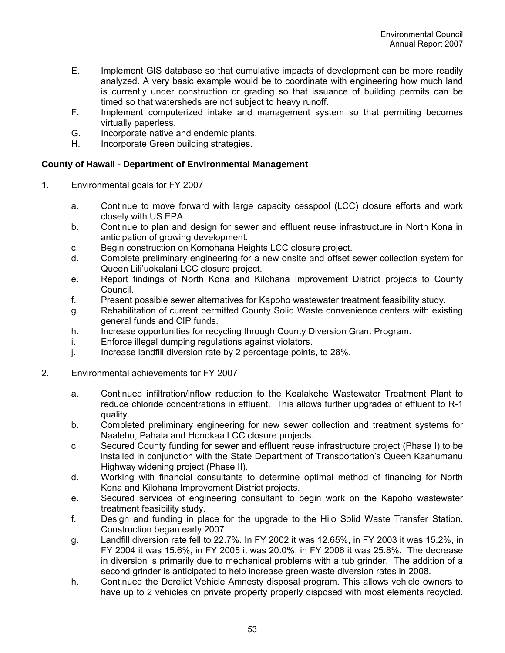- E. Implement GIS database so that cumulative impacts of development can be more readily analyzed. A very basic example would be to coordinate with engineering how much land is currently under construction or grading so that issuance of building permits can be timed so that watersheds are not subject to heavy runoff.
- F. Implement computerized intake and management system so that permiting becomes virtually paperless.
- G. Incorporate native and endemic plants.
- H. Incorporate Green building strategies.

### **County of Hawaii - Department of Environmental Management**

- 1. Environmental goals for FY 2007
	- a. Continue to move forward with large capacity cesspool (LCC) closure efforts and work closely with US EPA.
	- b. Continue to plan and design for sewer and effluent reuse infrastructure in North Kona in anticipation of growing development.
	- c. Begin construction on Komohana Heights LCC closure project.
	- d. Complete preliminary engineering for a new onsite and offset sewer collection system for Queen Lili'uokalani LCC closure project.
	- e. Report findings of North Kona and Kilohana Improvement District projects to County Council.
	- f. Present possible sewer alternatives for Kapoho wastewater treatment feasibility study.
	- g. Rehabilitation of current permitted County Solid Waste convenience centers with existing general funds and CIP funds.
	- h. Increase opportunities for recycling through County Diversion Grant Program.
	- i. Enforce illegal dumping regulations against violators.
	- j. Increase landfill diversion rate by 2 percentage points, to 28%.
- 2. Environmental achievements for FY 2007
	- a. Continued infiltration/inflow reduction to the Kealakehe Wastewater Treatment Plant to reduce chloride concentrations in effluent. This allows further upgrades of effluent to R-1 quality.
	- b. Completed preliminary engineering for new sewer collection and treatment systems for Naalehu, Pahala and Honokaa LCC closure projects.
	- c. Secured County funding for sewer and effluent reuse infrastructure project (Phase I) to be installed in conjunction with the State Department of Transportation's Queen Kaahumanu Highway widening project (Phase II).
	- d. Working with financial consultants to determine optimal method of financing for North Kona and Kilohana Improvement District projects.
	- e. Secured services of engineering consultant to begin work on the Kapoho wastewater treatment feasibility study.
	- f. Design and funding in place for the upgrade to the Hilo Solid Waste Transfer Station. Construction began early 2007.
	- g. Landfill diversion rate fell to 22.7%. In FY 2002 it was 12.65%, in FY 2003 it was 15.2%, in FY 2004 it was 15.6%, in FY 2005 it was 20.0%, in FY 2006 it was 25.8%. The decrease in diversion is primarily due to mechanical problems with a tub grinder. The addition of a second grinder is anticipated to help increase green waste diversion rates in 2008.
	- h. Continued the Derelict Vehicle Amnesty disposal program. This allows vehicle owners to have up to 2 vehicles on private property properly disposed with most elements recycled.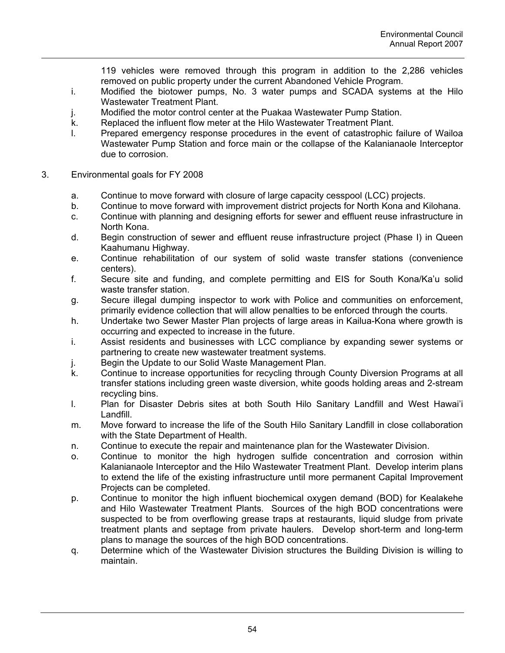119 vehicles were removed through this program in addition to the 2,286 vehicles removed on public property under the current Abandoned Vehicle Program.

- i. Modified the biotower pumps, No. 3 water pumps and SCADA systems at the Hilo Wastewater Treatment Plant.
- j. Modified the motor control center at the Puakaa Wastewater Pump Station.
- k. Replaced the influent flow meter at the Hilo Wastewater Treatment Plant.
- l. Prepared emergency response procedures in the event of catastrophic failure of Wailoa Wastewater Pump Station and force main or the collapse of the Kalanianaole Interceptor due to corrosion.
- 3. Environmental goals for FY 2008
	- a. Continue to move forward with closure of large capacity cesspool (LCC) projects.
	- b. Continue to move forward with improvement district projects for North Kona and Kilohana.
	- c. Continue with planning and designing efforts for sewer and effluent reuse infrastructure in North Kona.
	- d. Begin construction of sewer and effluent reuse infrastructure project (Phase I) in Queen Kaahumanu Highway.
	- e. Continue rehabilitation of our system of solid waste transfer stations (convenience centers).
	- f. Secure site and funding, and complete permitting and EIS for South Kona/Ka'u solid waste transfer station.
	- g. Secure illegal dumping inspector to work with Police and communities on enforcement, primarily evidence collection that will allow penalties to be enforced through the courts.
	- h. Undertake two Sewer Master Plan projects of large areas in Kailua-Kona where growth is occurring and expected to increase in the future.
	- i. Assist residents and businesses with LCC compliance by expanding sewer systems or partnering to create new wastewater treatment systems.
	- j. Begin the Update to our Solid Waste Management Plan.
	- k. Continue to increase opportunities for recycling through County Diversion Programs at all transfer stations including green waste diversion, white goods holding areas and 2-stream recycling bins.
	- l. Plan for Disaster Debris sites at both South Hilo Sanitary Landfill and West Hawai'i Landfill.
	- m. Move forward to increase the life of the South Hilo Sanitary Landfill in close collaboration with the State Department of Health.
	- n. Continue to execute the repair and maintenance plan for the Wastewater Division.
	- o. Continue to monitor the high hydrogen sulfide concentration and corrosion within Kalanianaole Interceptor and the Hilo Wastewater Treatment Plant. Develop interim plans to extend the life of the existing infrastructure until more permanent Capital Improvement Projects can be completed.
	- p. Continue to monitor the high influent biochemical oxygen demand (BOD) for Kealakehe and Hilo Wastewater Treatment Plants. Sources of the high BOD concentrations were suspected to be from overflowing grease traps at restaurants, liquid sludge from private treatment plants and septage from private haulers. Develop short-term and long-term plans to manage the sources of the high BOD concentrations.
	- q. Determine which of the Wastewater Division structures the Building Division is willing to maintain.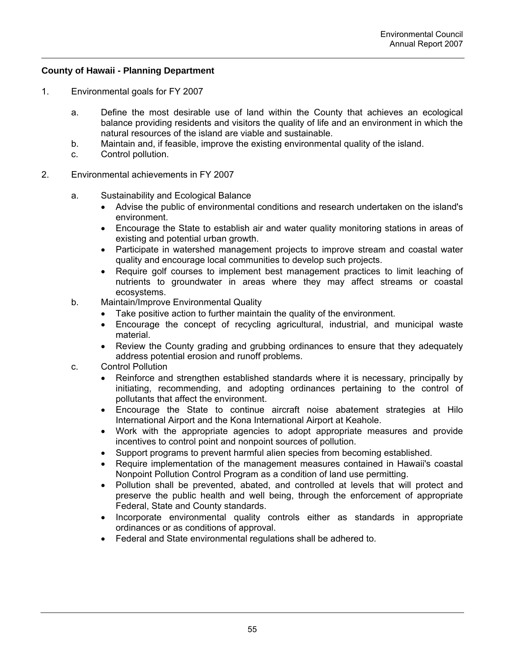# **County of Hawaii - Planning Department**

- 1. Environmental goals for FY 2007
	- a. Define the most desirable use of land within the County that achieves an ecological balance providing residents and visitors the quality of life and an environment in which the natural resources of the island are viable and sustainable.
	- b. Maintain and, if feasible, improve the existing environmental quality of the island.
	- c. Control pollution.
- 2. Environmental achievements in FY 2007
	- a. Sustainability and Ecological Balance
		- Advise the public of environmental conditions and research undertaken on the island's environment.
		- Encourage the State to establish air and water quality monitoring stations in areas of existing and potential urban growth.
		- Participate in watershed management projects to improve stream and coastal water quality and encourage local communities to develop such projects.
		- Require golf courses to implement best management practices to limit leaching of nutrients to groundwater in areas where they may affect streams or coastal ecosystems.
	- b. Maintain/Improve Environmental Quality
		- Take positive action to further maintain the quality of the environment.
		- Encourage the concept of recycling agricultural, industrial, and municipal waste material.
		- Review the County grading and grubbing ordinances to ensure that they adequately address potential erosion and runoff problems.
	- c. Control Pollution
		- Reinforce and strengthen established standards where it is necessary, principally by initiating, recommending, and adopting ordinances pertaining to the control of pollutants that affect the environment.
		- Encourage the State to continue aircraft noise abatement strategies at Hilo International Airport and the Kona International Airport at Keahole.
		- Work with the appropriate agencies to adopt appropriate measures and provide incentives to control point and nonpoint sources of pollution.
		- Support programs to prevent harmful alien species from becoming established.
		- Require implementation of the management measures contained in Hawaii's coastal Nonpoint Pollution Control Program as a condition of land use permitting.
		- Pollution shall be prevented, abated, and controlled at levels that will protect and preserve the public health and well being, through the enforcement of appropriate Federal, State and County standards.
		- Incorporate environmental quality controls either as standards in appropriate ordinances or as conditions of approval.
		- Federal and State environmental regulations shall be adhered to.